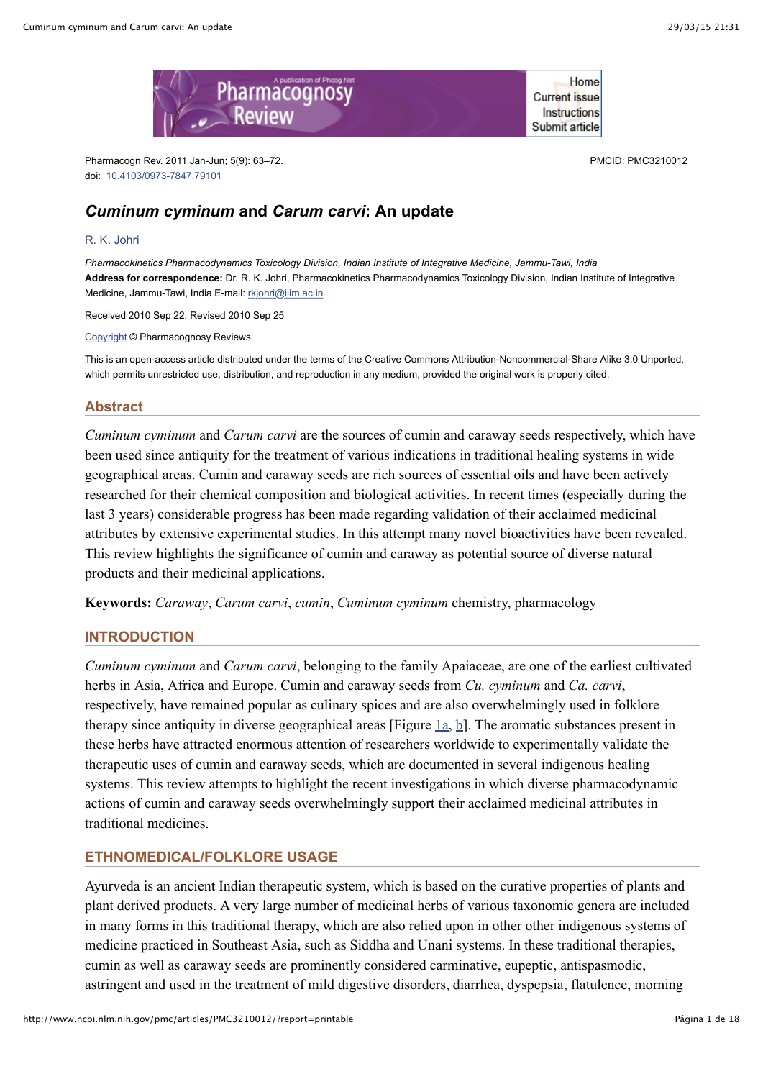

PMCID: PMC3210012

Home

Pharmacogn Rev. 2011 Jan-Jun; 5(9): 63–72. doi: [10.4103/0973-7847.79101](http://dx.doi.org/10.4103%2F0973-7847.79101)

# *Cuminum cyminum* **and** *Carum carvi***: An update**

#### [R. K. Johri](http://www.ncbi.nlm.nih.gov/pubmed/?term=Johri%20RK%5Bauth%5D)

*Pharmacokinetics Pharmacodynamics Toxicology Division, Indian Institute of Integrative Medicine, Jammu-Tawi, India* **Address for correspondence:** Dr. R. K. Johri, Pharmacokinetics Pharmacodynamics Toxicology Division, Indian Institute of Integrative Medicine, Jammu-Tawi, India E-mail: [rkjohri@iiim.ac.in](mailto:dev@null)

Received 2010 Sep 22; Revised 2010 Sep 25

[Copyright](http://www.ncbi.nlm.nih.gov/pmc/about/copyright.html) © Pharmacognosy Reviews

This is an open-access article distributed under the terms of the Creative Commons Attribution-Noncommercial-Share Alike 3.0 Unported, which permits unrestricted use, distribution, and reproduction in any medium, provided the original work is properly cited.

### **Abstract**

*Cuminum cyminum* and *Carum carvi* are the sources of cumin and caraway seeds respectively, which have been used since antiquity for the treatment of various indications in traditional healing systems in wide geographical areas. Cumin and caraway seeds are rich sources of essential oils and have been actively researched for their chemical composition and biological activities. In recent times (especially during the last 3 years) considerable progress has been made regarding validation of their acclaimed medicinal attributes by extensive experimental studies. In this attempt many novel bioactivities have been revealed. This review highlights the significance of cumin and caraway as potential source of diverse natural products and their medicinal applications.

**Keywords:** *Caraway*, *Carum carvi*, *cumin*, *Cuminum cyminum* chemistry, pharmacology

## **INTRODUCTION**

*Cuminum cyminum* and *Carum carvi*, belonging to the family Apaiaceae, are one of the earliest cultivated herbs in Asia, Africa and Europe. Cumin and caraway seeds from *Cu. cyminum* and *Ca. carvi*, respectively, have remained popular as culinary spices and are also overwhelmingly used in folklore therapy since antiquity in diverse geographical areas [Figure  $1a, b$  $1a, b$  $1a, b$ ]. The aromatic substances present in these herbs have attracted enormous attention of researchers worldwide to experimentally validate the therapeutic uses of cumin and caraway seeds, which are documented in several indigenous healing systems. This review attempts to highlight the recent investigations in which diverse pharmacodynamic actions of cumin and caraway seeds overwhelmingly support their acclaimed medicinal attributes in traditional medicines.

### **ETHNOMEDICAL/FOLKLORE USAGE**

Ayurveda is an ancient Indian therapeutic system, which is based on the curative properties of plants and plant derived products. A very large number of medicinal herbs of various taxonomic genera are included in many forms in this traditional therapy, which are also relied upon in other other indigenous systems of medicine practiced in Southeast Asia, such as Siddha and Unani systems. In these traditional therapies, cumin as well as caraway seeds are prominently considered carminative, eupeptic, antispasmodic, astringent and used in the treatment of mild digestive disorders, diarrhea, dyspepsia, flatulence, morning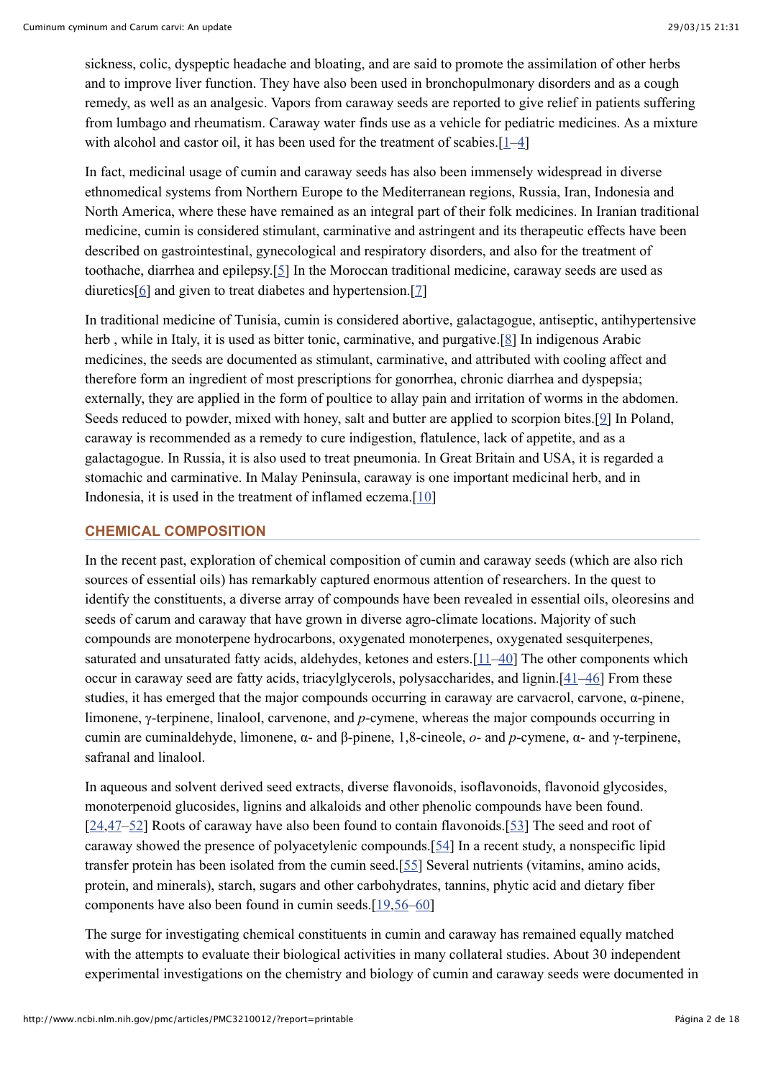sickness, colic, dyspeptic headache and bloating, and are said to promote the assimilation of other herbs and to improve liver function. They have also been used in bronchopulmonary disorders and as a cough remedy, as well as an analgesic. Vapors from caraway seeds are reported to give relief in patients suffering from lumbago and rheumatism. Caraway water finds use as a vehicle for pediatric medicines. As a mixture with alcohol and castor oil, it has been used for the treatment of scabies. $[1-4]$  $[1-4]$ 

In fact, medicinal usage of cumin and caraway seeds has also been immensely widespread in diverse ethnomedical systems from Northern Europe to the Mediterranean regions, Russia, Iran, Indonesia and North America, where these have remained as an integral part of their folk medicines. In Iranian traditional medicine, cumin is considered stimulant, carminative and astringent and its therapeutic effects have been described on gastrointestinal, gynecological and respiratory disorders, and also for the treatment of toothache, diarrhea and epilepsy.[\[5](http://www.ncbi.nlm.nih.gov/pmc/articles/PMC3210012/?report=printable#ref5)] In the Moroccan traditional medicine, caraway seeds are used as diuretics[\[6](http://www.ncbi.nlm.nih.gov/pmc/articles/PMC3210012/?report=printable#ref6)] and given to treat diabetes and hypertension.[\[7](http://www.ncbi.nlm.nih.gov/pmc/articles/PMC3210012/?report=printable#ref7)]

In traditional medicine of Tunisia, cumin is considered abortive, galactagogue, antiseptic, antihypertensive herb, while in Italy, it is used as bitter tonic, carminative, and purgative.<sup>[\[8](http://www.ncbi.nlm.nih.gov/pmc/articles/PMC3210012/?report=printable#ref8)]</sup> In indigenous Arabic medicines, the seeds are documented as stimulant, carminative, and attributed with cooling affect and therefore form an ingredient of most prescriptions for gonorrhea, chronic diarrhea and dyspepsia; externally, they are applied in the form of poultice to allay pain and irritation of worms in the abdomen. Seeds reduced to powder, mixed with honey, salt and butter are applied to scorpion bites.[\[9](http://www.ncbi.nlm.nih.gov/pmc/articles/PMC3210012/?report=printable#ref9)] In Poland, caraway is recommended as a remedy to cure indigestion, flatulence, lack of appetite, and as a galactagogue. In Russia, it is also used to treat pneumonia. In Great Britain and USA, it is regarded a stomachic and carminative. In Malay Peninsula, caraway is one important medicinal herb, and in Indonesia, it is used in the treatment of inflamed eczema.[\[10](http://www.ncbi.nlm.nih.gov/pmc/articles/PMC3210012/?report=printable#ref10)]

## **CHEMICAL COMPOSITION**

In the recent past, exploration of chemical composition of cumin and caraway seeds (which are also rich sources of essential oils) has remarkably captured enormous attention of researchers. In the quest to identify the constituents, a diverse array of compounds have been revealed in essential oils, oleoresins and seeds of carum and caraway that have grown in diverse agro-climate locations. Majority of such compounds are monoterpene hydrocarbons, oxygenated monoterpenes, oxygenated sesquiterpenes, saturated and unsaturated fatty acids, aldehydes, ketones and esters.[\[11](http://www.ncbi.nlm.nih.gov/pmc/articles/PMC3210012/?report=printable#ref11)[–40](http://www.ncbi.nlm.nih.gov/pmc/articles/PMC3210012/?report=printable#ref40)] The other components which occur in caraway seed are fatty acids, triacylglycerols, polysaccharides, and lignin.[\[41](http://www.ncbi.nlm.nih.gov/pmc/articles/PMC3210012/?report=printable#ref41)[–46](http://www.ncbi.nlm.nih.gov/pmc/articles/PMC3210012/?report=printable#ref46)] From these studies, it has emerged that the major compounds occurring in caraway are carvacrol, carvone, α-pinene, limonene, γ-terpinene, linalool, carvenone, and *p*-cymene, whereas the major compounds occurring in cumin are cuminaldehyde, limonene, α- and β-pinene, 1,8-cineole, *o*- and *p*-cymene, α- and γ-terpinene, safranal and linalool.

In aqueous and solvent derived seed extracts, diverse flavonoids, isoflavonoids, flavonoid glycosides, monoterpenoid glucosides, lignins and alkaloids and other phenolic compounds have been found. [\[24](http://www.ncbi.nlm.nih.gov/pmc/articles/PMC3210012/?report=printable#ref24)[,47](http://www.ncbi.nlm.nih.gov/pmc/articles/PMC3210012/?report=printable#ref47)[–52\]](http://www.ncbi.nlm.nih.gov/pmc/articles/PMC3210012/?report=printable#ref52) Roots of caraway have also been found to contain flavonoids.[\[53](http://www.ncbi.nlm.nih.gov/pmc/articles/PMC3210012/?report=printable#ref53)] The seed and root of caraway showed the presence of polyacetylenic compounds.[\[54](http://www.ncbi.nlm.nih.gov/pmc/articles/PMC3210012/?report=printable#ref54)] In a recent study, a nonspecific lipid transfer protein has been isolated from the cumin seed.[\[55](http://www.ncbi.nlm.nih.gov/pmc/articles/PMC3210012/?report=printable#ref55)] Several nutrients (vitamins, amino acids, protein, and minerals), starch, sugars and other carbohydrates, tannins, phytic acid and dietary fiber components have also been found in cumin seeds.[\[19](http://www.ncbi.nlm.nih.gov/pmc/articles/PMC3210012/?report=printable#ref19)[,56](http://www.ncbi.nlm.nih.gov/pmc/articles/PMC3210012/?report=printable#ref56)[–60](http://www.ncbi.nlm.nih.gov/pmc/articles/PMC3210012/?report=printable#ref60)]

The surge for investigating chemical constituents in cumin and caraway has remained equally matched with the attempts to evaluate their biological activities in many collateral studies. About 30 independent experimental investigations on the chemistry and biology of cumin and caraway seeds were documented in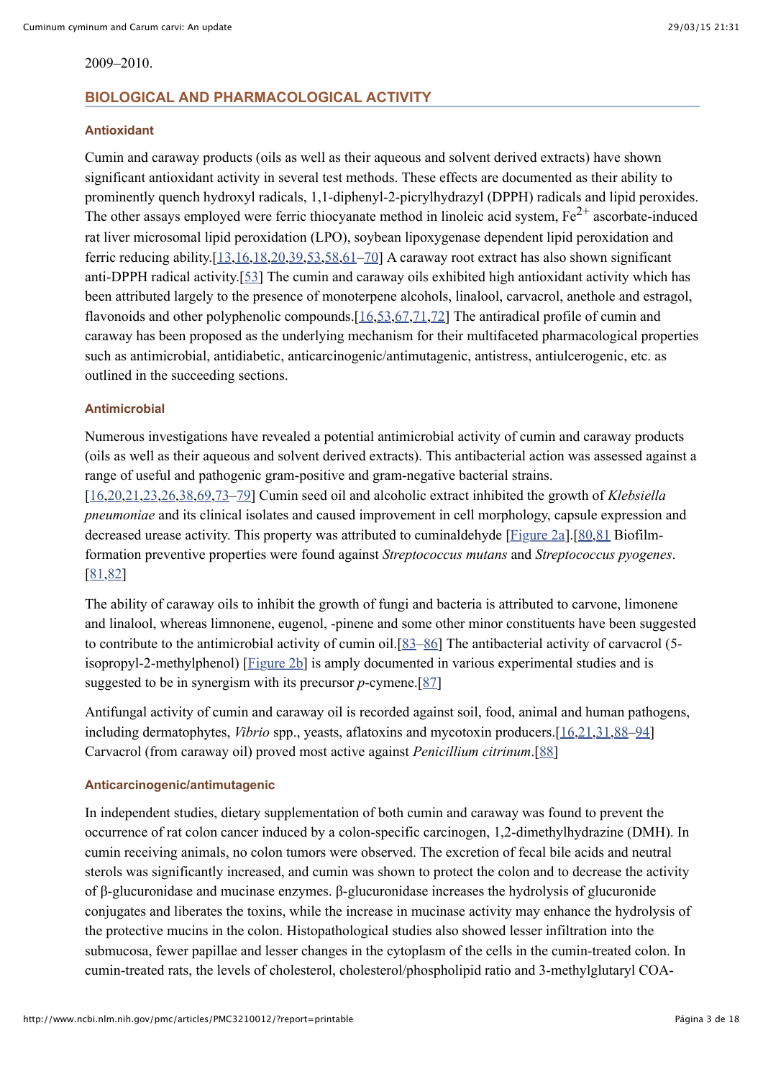#### 2009–2010.

### **BIOLOGICAL AND PHARMACOLOGICAL ACTIVITY**

#### **Antioxidant**

Cumin and caraway products (oils as well as their aqueous and solvent derived extracts) have shown significant antioxidant activity in several test methods. These effects are documented as their ability to prominently quench hydroxyl radicals, 1,1-diphenyl-2-picrylhydrazyl (DPPH) radicals and lipid peroxides. The other assays employed were ferric thiocyanate method in linoleic acid system,  $Fe^{2+}$  ascorbate-induced rat liver microsomal lipid peroxidation (LPO), soybean lipoxygenase dependent lipid peroxidation and ferric reducing ability.[\[13](http://www.ncbi.nlm.nih.gov/pmc/articles/PMC3210012/?report=printable#ref13)[,16](http://www.ncbi.nlm.nih.gov/pmc/articles/PMC3210012/?report=printable#ref16)[,18](http://www.ncbi.nlm.nih.gov/pmc/articles/PMC3210012/?report=printable#ref18)[,20](http://www.ncbi.nlm.nih.gov/pmc/articles/PMC3210012/?report=printable#ref20)[,39](http://www.ncbi.nlm.nih.gov/pmc/articles/PMC3210012/?report=printable#ref39)[,53](http://www.ncbi.nlm.nih.gov/pmc/articles/PMC3210012/?report=printable#ref53)[,58](http://www.ncbi.nlm.nih.gov/pmc/articles/PMC3210012/?report=printable#ref58)[,61](http://www.ncbi.nlm.nih.gov/pmc/articles/PMC3210012/?report=printable#ref61)[–70](http://www.ncbi.nlm.nih.gov/pmc/articles/PMC3210012/?report=printable#ref70)] A caraway root extract has also shown significant anti-DPPH radical activity.[\[53\]](http://www.ncbi.nlm.nih.gov/pmc/articles/PMC3210012/?report=printable#ref53) The cumin and caraway oils exhibited high antioxidant activity which has been attributed largely to the presence of monoterpene alcohols, linalool, carvacrol, anethole and estragol, flavonoids and other polyphenolic compounds. [\[16](http://www.ncbi.nlm.nih.gov/pmc/articles/PMC3210012/?report=printable#ref16)[,53](http://www.ncbi.nlm.nih.gov/pmc/articles/PMC3210012/?report=printable#ref53)[,67](http://www.ncbi.nlm.nih.gov/pmc/articles/PMC3210012/?report=printable#ref67)[,71](http://www.ncbi.nlm.nih.gov/pmc/articles/PMC3210012/?report=printable#ref71)[,72](http://www.ncbi.nlm.nih.gov/pmc/articles/PMC3210012/?report=printable#ref72)] The antiradical profile of cumin and caraway has been proposed as the underlying mechanism for their multifaceted pharmacological properties such as antimicrobial, antidiabetic, anticarcinogenic/antimutagenic, antistress, antiulcerogenic, etc. as outlined in the succeeding sections.

### **Antimicrobial**

Numerous investigations have revealed a potential antimicrobial activity of cumin and caraway products (oils as well as their aqueous and solvent derived extracts). This antibacterial action was assessed against a range of useful and pathogenic gram-positive and gram-negative bacterial strains.

[\[16](http://www.ncbi.nlm.nih.gov/pmc/articles/PMC3210012/?report=printable#ref16)[,20](http://www.ncbi.nlm.nih.gov/pmc/articles/PMC3210012/?report=printable#ref20)[,21](http://www.ncbi.nlm.nih.gov/pmc/articles/PMC3210012/?report=printable#ref21)[,23](http://www.ncbi.nlm.nih.gov/pmc/articles/PMC3210012/?report=printable#ref23)[,26](http://www.ncbi.nlm.nih.gov/pmc/articles/PMC3210012/?report=printable#ref26)[,38](http://www.ncbi.nlm.nih.gov/pmc/articles/PMC3210012/?report=printable#ref38)[,69](http://www.ncbi.nlm.nih.gov/pmc/articles/PMC3210012/?report=printable#ref69)[,73](http://www.ncbi.nlm.nih.gov/pmc/articles/PMC3210012/?report=printable#ref73)[–79\]](http://www.ncbi.nlm.nih.gov/pmc/articles/PMC3210012/?report=printable#ref79) Cumin seed oil and alcoholic extract inhibited the growth of *Klebsiella pneumoniae* and its clinical isolates and caused improvement in cell morphology, capsule expression and decreased urease activity. This property was attributed to cuminaldehyde [\[Figure 2a](http://www.ncbi.nlm.nih.gov/pmc/articles/PMC3210012/figure/F3/)].[\[80](http://www.ncbi.nlm.nih.gov/pmc/articles/PMC3210012/?report=printable#ref80)[,81](http://www.ncbi.nlm.nih.gov/pmc/articles/PMC3210012/?report=printable#ref81) Biofilmformation preventive properties were found against *Streptococcus mutans* and *Streptococcus pyogenes*. [\[81](http://www.ncbi.nlm.nih.gov/pmc/articles/PMC3210012/?report=printable#ref81)[,82](http://www.ncbi.nlm.nih.gov/pmc/articles/PMC3210012/?report=printable#ref82)]

The ability of caraway oils to inhibit the growth of fungi and bacteria is attributed to carvone, limonene and linalool, whereas limnonene, eugenol, -pinene and some other minor constituents have been suggested to contribute to the antimicrobial activity of cumin oil.[\[83](http://www.ncbi.nlm.nih.gov/pmc/articles/PMC3210012/?report=printable#ref83)[–86\]](http://www.ncbi.nlm.nih.gov/pmc/articles/PMC3210012/?report=printable#ref86) The antibacterial activity of carvacrol (5 isopropyl-2-methylphenol) [\[Figure 2b](http://www.ncbi.nlm.nih.gov/pmc/articles/PMC3210012/figure/F3/)] is amply documented in various experimental studies and is suggested to be in synergism with its precursor *p*-cymene.[\[87](http://www.ncbi.nlm.nih.gov/pmc/articles/PMC3210012/?report=printable#ref87)]

Antifungal activity of cumin and caraway oil is recorded against soil, food, animal and human pathogens, including dermatophytes, *Vibrio* spp., yeasts, aflatoxins and mycotoxin producers.[\[16](http://www.ncbi.nlm.nih.gov/pmc/articles/PMC3210012/?report=printable#ref16)[,21](http://www.ncbi.nlm.nih.gov/pmc/articles/PMC3210012/?report=printable#ref21)[,31](http://www.ncbi.nlm.nih.gov/pmc/articles/PMC3210012/?report=printable#ref31)[,88](http://www.ncbi.nlm.nih.gov/pmc/articles/PMC3210012/?report=printable#ref88)[–94](http://www.ncbi.nlm.nih.gov/pmc/articles/PMC3210012/?report=printable#ref94)] Carvacrol (from caraway oil) proved most active against *Penicillium citrinum*.[\[88](http://www.ncbi.nlm.nih.gov/pmc/articles/PMC3210012/?report=printable#ref88)]

### **Anticarcinogenic/antimutagenic**

In independent studies, dietary supplementation of both cumin and caraway was found to prevent the occurrence of rat colon cancer induced by a colon-specific carcinogen, 1,2-dimethylhydrazine (DMH). In cumin receiving animals, no colon tumors were observed. The excretion of fecal bile acids and neutral sterols was significantly increased, and cumin was shown to protect the colon and to decrease the activity of β-glucuronidase and mucinase enzymes. β-glucuronidase increases the hydrolysis of glucuronide conjugates and liberates the toxins, while the increase in mucinase activity may enhance the hydrolysis of the protective mucins in the colon. Histopathological studies also showed lesser infiltration into the submucosa, fewer papillae and lesser changes in the cytoplasm of the cells in the cumin-treated colon. In cumin-treated rats, the levels of cholesterol, cholesterol/phospholipid ratio and 3-methylglutaryl COA-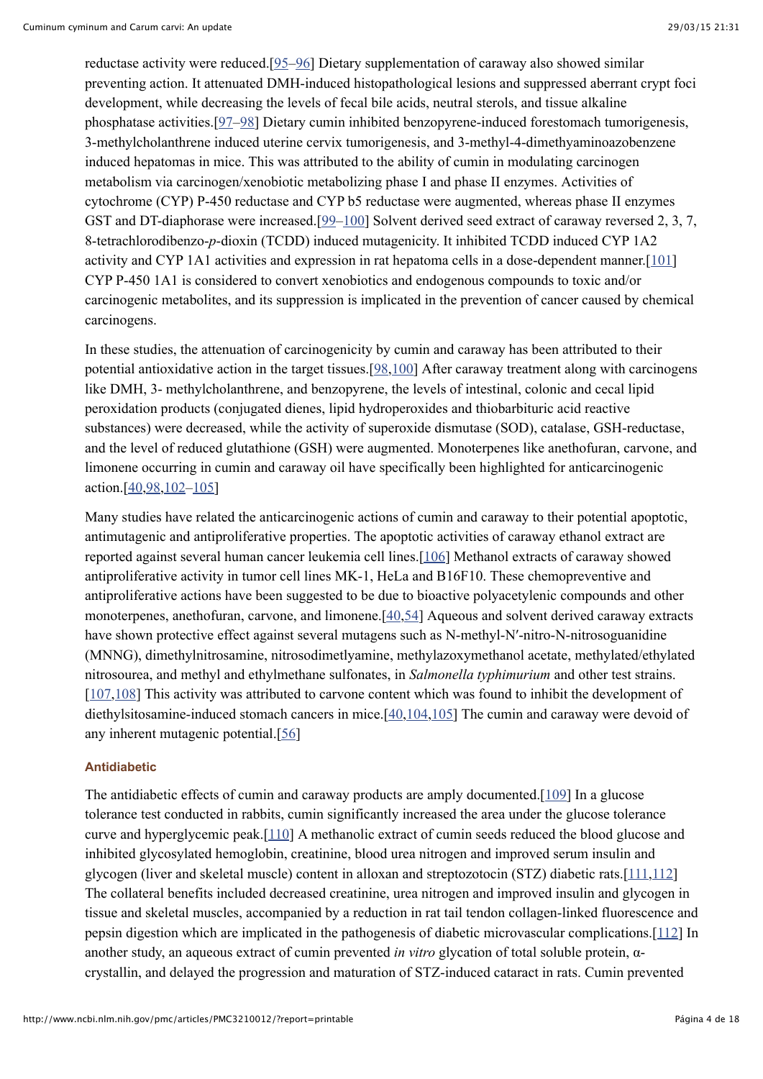reductase activity were reduced.[\[95](http://www.ncbi.nlm.nih.gov/pmc/articles/PMC3210012/?report=printable#ref95)[–96](http://www.ncbi.nlm.nih.gov/pmc/articles/PMC3210012/?report=printable#ref96)] Dietary supplementation of caraway also showed similar preventing action. It attenuated DMH-induced histopathological lesions and suppressed aberrant crypt foci development, while decreasing the levels of fecal bile acids, neutral sterols, and tissue alkaline phosphatase activities.[\[97](http://www.ncbi.nlm.nih.gov/pmc/articles/PMC3210012/?report=printable#ref97)[–98](http://www.ncbi.nlm.nih.gov/pmc/articles/PMC3210012/?report=printable#ref98)] Dietary cumin inhibited benzopyrene-induced forestomach tumorigenesis, 3-methylcholanthrene induced uterine cervix tumorigenesis, and 3-methyl-4-dimethyaminoazobenzene induced hepatomas in mice. This was attributed to the ability of cumin in modulating carcinogen metabolism via carcinogen/xenobiotic metabolizing phase I and phase II enzymes. Activities of cytochrome (CYP) P-450 reductase and CYP b5 reductase were augmented, whereas phase II enzymes GST and DT-diaphorase were increased.[\[99](http://www.ncbi.nlm.nih.gov/pmc/articles/PMC3210012/?report=printable#ref99)[–100](http://www.ncbi.nlm.nih.gov/pmc/articles/PMC3210012/?report=printable#ref100)] Solvent derived seed extract of caraway reversed 2, 3, 7, 8-tetrachlorodibenzo-*p*-dioxin (TCDD) induced mutagenicity. It inhibited TCDD induced CYP 1A2 activity and CYP 1A1 activities and expression in rat hepatoma cells in a dose-dependent manner.[\[101](http://www.ncbi.nlm.nih.gov/pmc/articles/PMC3210012/?report=printable#ref101)] CYP P-450 1A1 is considered to convert xenobiotics and endogenous compounds to toxic and/or carcinogenic metabolites, and its suppression is implicated in the prevention of cancer caused by chemical carcinogens.

In these studies, the attenuation of carcinogenicity by cumin and caraway has been attributed to their potential antioxidative action in the target tissues.[\[98](http://www.ncbi.nlm.nih.gov/pmc/articles/PMC3210012/?report=printable#ref98)[,100](http://www.ncbi.nlm.nih.gov/pmc/articles/PMC3210012/?report=printable#ref100)] After caraway treatment along with carcinogens like DMH, 3- methylcholanthrene, and benzopyrene, the levels of intestinal, colonic and cecal lipid peroxidation products (conjugated dienes, lipid hydroperoxides and thiobarbituric acid reactive substances) were decreased, while the activity of superoxide dismutase (SOD), catalase, GSH-reductase, and the level of reduced glutathione (GSH) were augmented. Monoterpenes like anethofuran, carvone, and limonene occurring in cumin and caraway oil have specifically been highlighted for anticarcinogenic action.[\[40](http://www.ncbi.nlm.nih.gov/pmc/articles/PMC3210012/?report=printable#ref40)[,98](http://www.ncbi.nlm.nih.gov/pmc/articles/PMC3210012/?report=printable#ref98)[,102](http://www.ncbi.nlm.nih.gov/pmc/articles/PMC3210012/?report=printable#ref102)[–105](http://www.ncbi.nlm.nih.gov/pmc/articles/PMC3210012/?report=printable#ref105)]

Many studies have related the anticarcinogenic actions of cumin and caraway to their potential apoptotic, antimutagenic and antiproliferative properties. The apoptotic activities of caraway ethanol extract are reported against several human cancer leukemia cell lines.[\[106](http://www.ncbi.nlm.nih.gov/pmc/articles/PMC3210012/?report=printable#ref106)] Methanol extracts of caraway showed antiproliferative activity in tumor cell lines MK-1, HeLa and B16F10. These chemopreventive and antiproliferative actions have been suggested to be due to bioactive polyacetylenic compounds and other monoterpenes, anethofuran, carvone, and limonene.[\[40](http://www.ncbi.nlm.nih.gov/pmc/articles/PMC3210012/?report=printable#ref40)[,54](http://www.ncbi.nlm.nih.gov/pmc/articles/PMC3210012/?report=printable#ref54)] Aqueous and solvent derived caraway extracts have shown protective effect against several mutagens such as N-methyl-N′-nitro-N-nitrosoguanidine (MNNG), dimethylnitrosamine, nitrosodimetlyamine, methylazoxymethanol acetate, methylated/ethylated nitrosourea, and methyl and ethylmethane sulfonates, in *Salmonella typhimurium* and other test strains. [\[107](http://www.ncbi.nlm.nih.gov/pmc/articles/PMC3210012/?report=printable#ref107)[,108](http://www.ncbi.nlm.nih.gov/pmc/articles/PMC3210012/?report=printable#ref108)] This activity was attributed to carvone content which was found to inhibit the development of diethylsitosamine-induced stomach cancers in mice.<sup>[\[40](http://www.ncbi.nlm.nih.gov/pmc/articles/PMC3210012/?report=printable#ref40)[,104](http://www.ncbi.nlm.nih.gov/pmc/articles/PMC3210012/?report=printable#ref104)[,105](http://www.ncbi.nlm.nih.gov/pmc/articles/PMC3210012/?report=printable#ref105)]</sup> The cumin and caraway were devoid of any inherent mutagenic potential.[\[56\]](http://www.ncbi.nlm.nih.gov/pmc/articles/PMC3210012/?report=printable#ref56)

#### **Antidiabetic**

The antidiabetic effects of cumin and caraway products are amply documented.[\[109](http://www.ncbi.nlm.nih.gov/pmc/articles/PMC3210012/?report=printable#ref109)] In a glucose tolerance test conducted in rabbits, cumin significantly increased the area under the glucose tolerance curve and hyperglycemic peak.[\[110\]](http://www.ncbi.nlm.nih.gov/pmc/articles/PMC3210012/?report=printable#ref110) A methanolic extract of cumin seeds reduced the blood glucose and inhibited glycosylated hemoglobin, creatinine, blood urea nitrogen and improved serum insulin and glycogen (liver and skeletal muscle) content in alloxan and streptozotocin (STZ) diabetic rats.[\[111](http://www.ncbi.nlm.nih.gov/pmc/articles/PMC3210012/?report=printable#ref111)[,112](http://www.ncbi.nlm.nih.gov/pmc/articles/PMC3210012/?report=printable#ref112)] The collateral benefits included decreased creatinine, urea nitrogen and improved insulin and glycogen in tissue and skeletal muscles, accompanied by a reduction in rat tail tendon collagen-linked fluorescence and pepsin digestion which are implicated in the pathogenesis of diabetic microvascular complications.[\[112](http://www.ncbi.nlm.nih.gov/pmc/articles/PMC3210012/?report=printable#ref112)] In another study, an aqueous extract of cumin prevented *in vitro* glycation of total soluble protein, αcrystallin, and delayed the progression and maturation of STZ-induced cataract in rats. Cumin prevented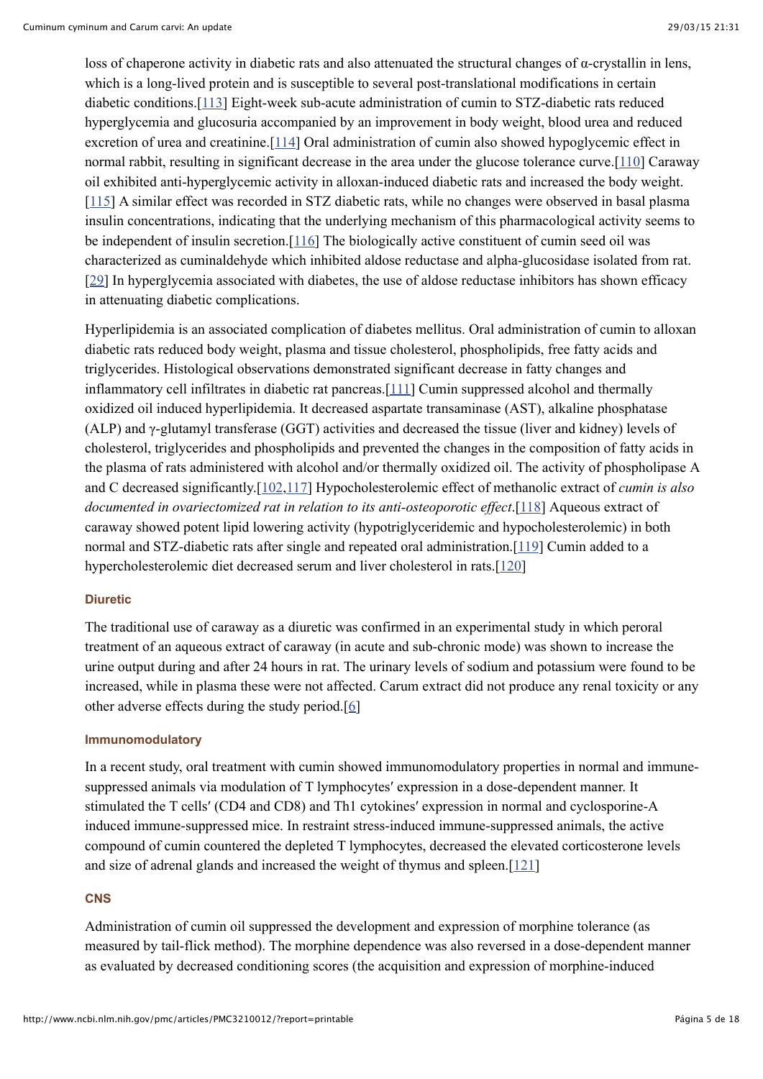loss of chaperone activity in diabetic rats and also attenuated the structural changes of α-crystallin in lens, which is a long-lived protein and is susceptible to several post-translational modifications in certain diabetic conditions.[\[113\]](http://www.ncbi.nlm.nih.gov/pmc/articles/PMC3210012/?report=printable#ref113) Eight-week sub-acute administration of cumin to STZ-diabetic rats reduced hyperglycemia and glucosuria accompanied by an improvement in body weight, blood urea and reduced excretion of urea and creatinine.[\[114\]](http://www.ncbi.nlm.nih.gov/pmc/articles/PMC3210012/?report=printable#ref114) Oral administration of cumin also showed hypoglycemic effect in normal rabbit, resulting in significant decrease in the area under the glucose tolerance curve.[\[110\]](http://www.ncbi.nlm.nih.gov/pmc/articles/PMC3210012/?report=printable#ref110) Caraway oil exhibited anti-hyperglycemic activity in alloxan-induced diabetic rats and increased the body weight. [\[115](http://www.ncbi.nlm.nih.gov/pmc/articles/PMC3210012/?report=printable#ref115)] A similar effect was recorded in STZ diabetic rats, while no changes were observed in basal plasma insulin concentrations, indicating that the underlying mechanism of this pharmacological activity seems to be independent of insulin secretion.[\[116](http://www.ncbi.nlm.nih.gov/pmc/articles/PMC3210012/?report=printable#ref116)] The biologically active constituent of cumin seed oil was characterized as cuminaldehyde which inhibited aldose reductase and alpha-glucosidase isolated from rat. [\[29](http://www.ncbi.nlm.nih.gov/pmc/articles/PMC3210012/?report=printable#ref29)] In hyperglycemia associated with diabetes, the use of aldose reductase inhibitors has shown efficacy in attenuating diabetic complications.

Hyperlipidemia is an associated complication of diabetes mellitus. Oral administration of cumin to alloxan diabetic rats reduced body weight, plasma and tissue cholesterol, phospholipids, free fatty acids and triglycerides. Histological observations demonstrated significant decrease in fatty changes and inflammatory cell infiltrates in diabetic rat pancreas.[\[111](http://www.ncbi.nlm.nih.gov/pmc/articles/PMC3210012/?report=printable#ref111)] Cumin suppressed alcohol and thermally oxidized oil induced hyperlipidemia. It decreased aspartate transaminase (AST), alkaline phosphatase (ALP) and γ-glutamyl transferase (GGT) activities and decreased the tissue (liver and kidney) levels of cholesterol, triglycerides and phospholipids and prevented the changes in the composition of fatty acids in the plasma of rats administered with alcohol and/or thermally oxidized oil. The activity of phospholipase A and C decreased significantly.[\[102](http://www.ncbi.nlm.nih.gov/pmc/articles/PMC3210012/?report=printable#ref102)[,117\]](http://www.ncbi.nlm.nih.gov/pmc/articles/PMC3210012/?report=printable#ref117) Hypocholesterolemic effect of methanolic extract of *cumin is also documented in ovariectomized rat in relation to its anti-osteoporotic effect*.[\[118](http://www.ncbi.nlm.nih.gov/pmc/articles/PMC3210012/?report=printable#ref118)] Aqueous extract of caraway showed potent lipid lowering activity (hypotriglyceridemic and hypocholesterolemic) in both normal and STZ-diabetic rats after single and repeated oral administration.[\[119](http://www.ncbi.nlm.nih.gov/pmc/articles/PMC3210012/?report=printable#ref119)] Cumin added to a hypercholesterolemic diet decreased serum and liver cholesterol in rats.[\[120\]](http://www.ncbi.nlm.nih.gov/pmc/articles/PMC3210012/?report=printable#ref120)

### **Diuretic**

The traditional use of caraway as a diuretic was confirmed in an experimental study in which peroral treatment of an aqueous extract of caraway (in acute and sub-chronic mode) was shown to increase the urine output during and after 24 hours in rat. The urinary levels of sodium and potassium were found to be increased, while in plasma these were not affected. Carum extract did not produce any renal toxicity or any other adverse effects during the study period. $[6]$  $[6]$ 

### **Immunomodulatory**

In a recent study, oral treatment with cumin showed immunomodulatory properties in normal and immunesuppressed animals via modulation of T lymphocytes′ expression in a dose-dependent manner. It stimulated the T cells′ (CD4 and CD8) and Th1 cytokines′ expression in normal and cyclosporine-A induced immune-suppressed mice. In restraint stress-induced immune-suppressed animals, the active compound of cumin countered the depleted T lymphocytes, decreased the elevated corticosterone levels and size of adrenal glands and increased the weight of thymus and spleen.[\[121](http://www.ncbi.nlm.nih.gov/pmc/articles/PMC3210012/?report=printable#ref121)]

### **CNS**

Administration of cumin oil suppressed the development and expression of morphine tolerance (as measured by tail-flick method). The morphine dependence was also reversed in a dose-dependent manner as evaluated by decreased conditioning scores (the acquisition and expression of morphine-induced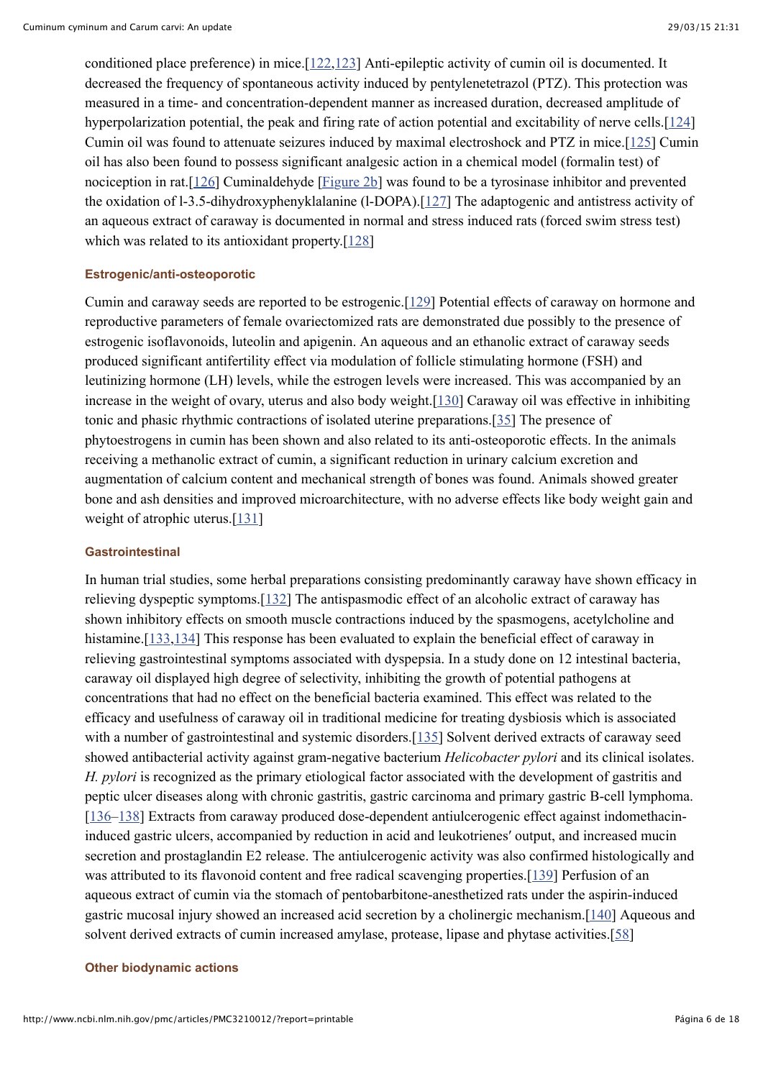conditioned place preference) in mice.[\[122](http://www.ncbi.nlm.nih.gov/pmc/articles/PMC3210012/?report=printable#ref122)[,123](http://www.ncbi.nlm.nih.gov/pmc/articles/PMC3210012/?report=printable#ref123)] Anti-epileptic activity of cumin oil is documented. It decreased the frequency of spontaneous activity induced by pentylenetetrazol (PTZ). This protection was measured in a time- and concentration-dependent manner as increased duration, decreased amplitude of hyperpolarization potential, the peak and firing rate of action potential and excitability of nerve cells.[\[124\]](http://www.ncbi.nlm.nih.gov/pmc/articles/PMC3210012/?report=printable#ref124) Cumin oil was found to attenuate seizures induced by maximal electroshock and PTZ in mice.[\[125](http://www.ncbi.nlm.nih.gov/pmc/articles/PMC3210012/?report=printable#ref125)] Cumin oil has also been found to possess significant analgesic action in a chemical model (formalin test) of nociception in rat.[\[126\]](http://www.ncbi.nlm.nih.gov/pmc/articles/PMC3210012/?report=printable#ref126) Cuminaldehyde [\[Figure 2b\]](http://www.ncbi.nlm.nih.gov/pmc/articles/PMC3210012/figure/F2/) was found to be a tyrosinase inhibitor and prevented the oxidation of l-3.5-dihydroxyphenyklalanine (l-DOPA).[\[127](http://www.ncbi.nlm.nih.gov/pmc/articles/PMC3210012/?report=printable#ref127)] The adaptogenic and antistress activity of an aqueous extract of caraway is documented in normal and stress induced rats (forced swim stress test) which was related to its antioxidant property.[\[128](http://www.ncbi.nlm.nih.gov/pmc/articles/PMC3210012/?report=printable#ref128)]

### **Estrogenic/anti-osteoporotic**

Cumin and caraway seeds are reported to be estrogenic.[\[129](http://www.ncbi.nlm.nih.gov/pmc/articles/PMC3210012/?report=printable#ref129)] Potential effects of caraway on hormone and reproductive parameters of female ovariectomized rats are demonstrated due possibly to the presence of estrogenic isoflavonoids, luteolin and apigenin. An aqueous and an ethanolic extract of caraway seeds produced significant antifertility effect via modulation of follicle stimulating hormone (FSH) and leutinizing hormone (LH) levels, while the estrogen levels were increased. This was accompanied by an increase in the weight of ovary, uterus and also body weight.[\[130](http://www.ncbi.nlm.nih.gov/pmc/articles/PMC3210012/?report=printable#ref130)] Caraway oil was effective in inhibiting tonic and phasic rhythmic contractions of isolated uterine preparations.[\[35](http://www.ncbi.nlm.nih.gov/pmc/articles/PMC3210012/?report=printable#ref35)] The presence of phytoestrogens in cumin has been shown and also related to its anti-osteoporotic effects. In the animals receiving a methanolic extract of cumin, a significant reduction in urinary calcium excretion and augmentation of calcium content and mechanical strength of bones was found. Animals showed greater bone and ash densities and improved microarchitecture, with no adverse effects like body weight gain and weight of atrophic uterus.<sup>[\[131](http://www.ncbi.nlm.nih.gov/pmc/articles/PMC3210012/?report=printable#ref131)]</sup>

#### **Gastrointestinal**

In human trial studies, some herbal preparations consisting predominantly caraway have shown efficacy in relieving dyspeptic symptoms.[\[132\]](http://www.ncbi.nlm.nih.gov/pmc/articles/PMC3210012/?report=printable#ref132) The antispasmodic effect of an alcoholic extract of caraway has shown inhibitory effects on smooth muscle contractions induced by the spasmogens, acetylcholine and histamine.<sup>[\[133](http://www.ncbi.nlm.nih.gov/pmc/articles/PMC3210012/?report=printable#ref133)[,134](http://www.ncbi.nlm.nih.gov/pmc/articles/PMC3210012/?report=printable#ref134)]</sup> This response has been evaluated to explain the beneficial effect of caraway in relieving gastrointestinal symptoms associated with dyspepsia. In a study done on 12 intestinal bacteria, caraway oil displayed high degree of selectivity, inhibiting the growth of potential pathogens at concentrations that had no effect on the beneficial bacteria examined. This effect was related to the efficacy and usefulness of caraway oil in traditional medicine for treating dysbiosis which is associated with a number of gastrointestinal and systemic disorders.<sup>[\[135](http://www.ncbi.nlm.nih.gov/pmc/articles/PMC3210012/?report=printable#ref135)]</sup> Solvent derived extracts of caraway seed showed antibacterial activity against gram-negative bacterium *Helicobacter pylori* and its clinical isolates. *H. pylori* is recognized as the primary etiological factor associated with the development of gastritis and peptic ulcer diseases along with chronic gastritis, gastric carcinoma and primary gastric B-cell lymphoma. [\[136](http://www.ncbi.nlm.nih.gov/pmc/articles/PMC3210012/?report=printable#ref136)[–138](http://www.ncbi.nlm.nih.gov/pmc/articles/PMC3210012/?report=printable#ref138)] Extracts from caraway produced dose-dependent antiulcerogenic effect against indomethacininduced gastric ulcers, accompanied by reduction in acid and leukotrienes′ output, and increased mucin secretion and prostaglandin E2 release. The antiulcerogenic activity was also confirmed histologically and was attributed to its flavonoid content and free radical scavenging properties.[\[139](http://www.ncbi.nlm.nih.gov/pmc/articles/PMC3210012/?report=printable#ref139)] Perfusion of an aqueous extract of cumin via the stomach of pentobarbitone-anesthetized rats under the aspirin-induced gastric mucosal injury showed an increased acid secretion by a cholinergic mechanism.[\[140](http://www.ncbi.nlm.nih.gov/pmc/articles/PMC3210012/?report=printable#ref140)] Aqueous and solvent derived extracts of cumin increased amylase, protease, lipase and phytase activities.[\[58](http://www.ncbi.nlm.nih.gov/pmc/articles/PMC3210012/?report=printable#ref58)]

#### **Other biodynamic actions**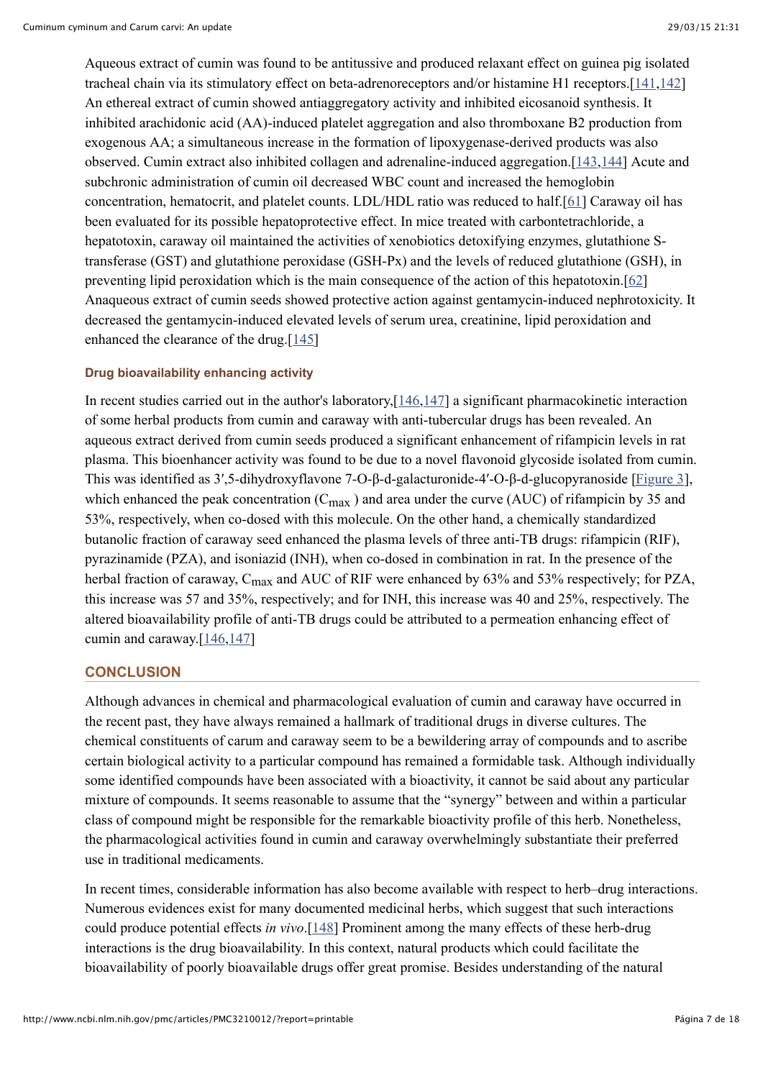Aqueous extract of cumin was found to be antitussive and produced relaxant effect on guinea pig isolated tracheal chain via its stimulatory effect on beta-adrenoreceptors and/or histamine H1 receptors.[\[141](http://www.ncbi.nlm.nih.gov/pmc/articles/PMC3210012/?report=printable#ref141)[,142](http://www.ncbi.nlm.nih.gov/pmc/articles/PMC3210012/?report=printable#ref142)] An ethereal extract of cumin showed antiaggregatory activity and inhibited eicosanoid synthesis. It inhibited arachidonic acid (AA)-induced platelet aggregation and also thromboxane B2 production from exogenous AA; a simultaneous increase in the formation of lipoxygenase-derived products was also observed. Cumin extract also inhibited collagen and adrenaline-induced aggregation.[\[143](http://www.ncbi.nlm.nih.gov/pmc/articles/PMC3210012/?report=printable#ref143)[,144\]](http://www.ncbi.nlm.nih.gov/pmc/articles/PMC3210012/?report=printable#ref144) Acute and subchronic administration of cumin oil decreased WBC count and increased the hemoglobin concentration, hematocrit, and platelet counts. LDL/HDL ratio was reduced to half.[\[61](http://www.ncbi.nlm.nih.gov/pmc/articles/PMC3210012/?report=printable#ref61)] Caraway oil has been evaluated for its possible hepatoprotective effect. In mice treated with carbontetrachloride, a hepatotoxin, caraway oil maintained the activities of xenobiotics detoxifying enzymes, glutathione Stransferase (GST) and glutathione peroxidase (GSH-Px) and the levels of reduced glutathione (GSH), in preventing lipid peroxidation which is the main consequence of the action of this hepatotoxin.[\[62](http://www.ncbi.nlm.nih.gov/pmc/articles/PMC3210012/?report=printable#ref62)] Anaqueous extract of cumin seeds showed protective action against gentamycin-induced nephrotoxicity. It decreased the gentamycin-induced elevated levels of serum urea, creatinine, lipid peroxidation and enhanced the clearance of the drug.[\[145](http://www.ncbi.nlm.nih.gov/pmc/articles/PMC3210012/?report=printable#ref145)]

## **Drug bioavailability enhancing activity**

In recent studies carried out in the author's laboratory,[\[146](http://www.ncbi.nlm.nih.gov/pmc/articles/PMC3210012/?report=printable#ref146)[,147](http://www.ncbi.nlm.nih.gov/pmc/articles/PMC3210012/?report=printable#ref147)] a significant pharmacokinetic interaction of some herbal products from cumin and caraway with anti-tubercular drugs has been revealed. An aqueous extract derived from cumin seeds produced a significant enhancement of rifampicin levels in rat plasma. This bioenhancer activity was found to be due to a novel flavonoid glycoside isolated from cumin. This was identified as 3′,5-dihydroxyflavone 7-O-β-d-galacturonide-4′-O-β-d-glucopyranoside [\[Figure 3](http://www.ncbi.nlm.nih.gov/pmc/articles/PMC3210012/figure/F4/)], which enhanced the peak concentration  $(C_{max})$  and area under the curve (AUC) of rifampicin by 35 and 53%, respectively, when co-dosed with this molecule. On the other hand, a chemically standardized butanolic fraction of caraway seed enhanced the plasma levels of three anti-TB drugs: rifampicin (RIF), pyrazinamide (PZA), and isoniazid (INH), when co-dosed in combination in rat. In the presence of the herbal fraction of caraway,  $C_{max}$  and AUC of RIF were enhanced by 63% and 53% respectively; for PZA, this increase was 57 and 35%, respectively; and for INH, this increase was 40 and 25%, respectively. The altered bioavailability profile of anti-TB drugs could be attributed to a permeation enhancing effect of cumin and caraway.[\[146](http://www.ncbi.nlm.nih.gov/pmc/articles/PMC3210012/?report=printable#ref146)[,147](http://www.ncbi.nlm.nih.gov/pmc/articles/PMC3210012/?report=printable#ref147)]

## **CONCLUSION**

Although advances in chemical and pharmacological evaluation of cumin and caraway have occurred in the recent past, they have always remained a hallmark of traditional drugs in diverse cultures. The chemical constituents of carum and caraway seem to be a bewildering array of compounds and to ascribe certain biological activity to a particular compound has remained a formidable task. Although individually some identified compounds have been associated with a bioactivity, it cannot be said about any particular mixture of compounds. It seems reasonable to assume that the "synergy" between and within a particular class of compound might be responsible for the remarkable bioactivity profile of this herb. Nonetheless, the pharmacological activities found in cumin and caraway overwhelmingly substantiate their preferred use in traditional medicaments.

In recent times, considerable information has also become available with respect to herb–drug interactions. Numerous evidences exist for many documented medicinal herbs, which suggest that such interactions could produce potential effects *in vivo*.[\[148](http://www.ncbi.nlm.nih.gov/pmc/articles/PMC3210012/?report=printable#ref148)] Prominent among the many effects of these herb-drug interactions is the drug bioavailability. In this context, natural products which could facilitate the bioavailability of poorly bioavailable drugs offer great promise. Besides understanding of the natural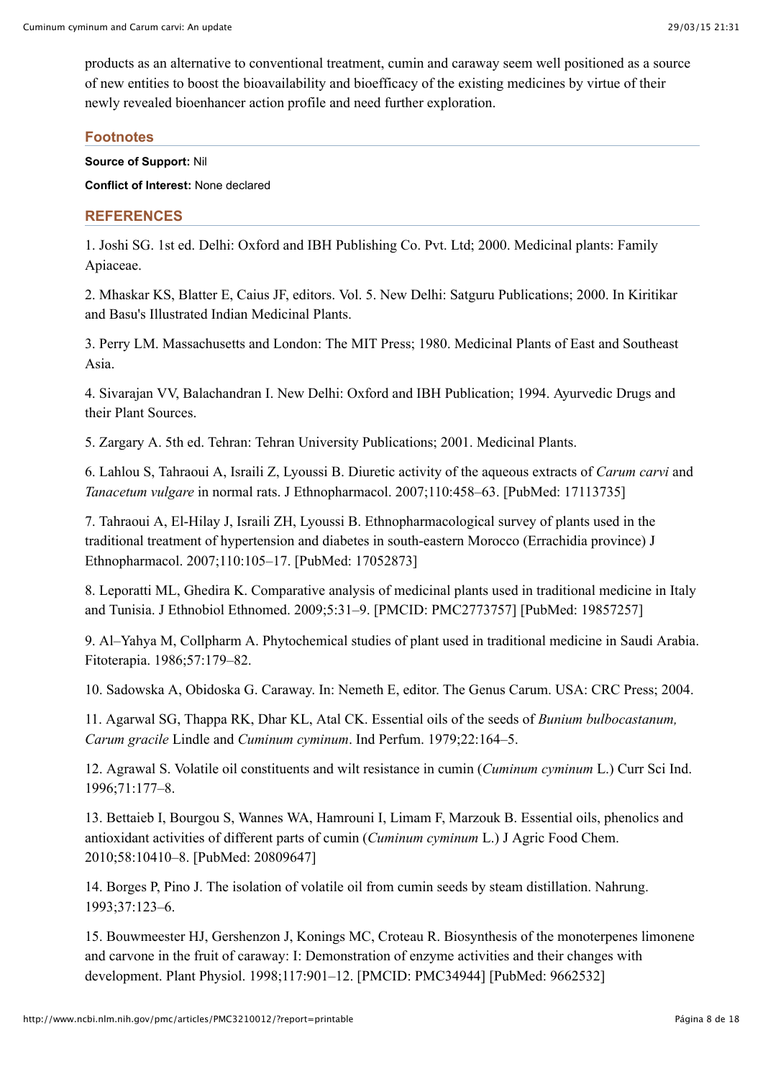products as an alternative to conventional treatment, cumin and caraway seem well positioned as a source of new entities to boost the bioavailability and bioefficacy of the existing medicines by virtue of their newly revealed bioenhancer action profile and need further exploration.

### **Footnotes**

**Source of Support:** Nil

**Conflict of Interest:** None declared

## **REFERENCES**

1. Joshi SG. 1st ed. Delhi: Oxford and IBH Publishing Co. Pvt. Ltd; 2000. Medicinal plants: Family Apiaceae.

2. Mhaskar KS, Blatter E, Caius JF, editors. Vol. 5. New Delhi: Satguru Publications; 2000. In Kiritikar and Basu's Illustrated Indian Medicinal Plants.

3. Perry LM. Massachusetts and London: The MIT Press; 1980. Medicinal Plants of East and Southeast Asia.

4. Sivarajan VV, Balachandran I. New Delhi: Oxford and IBH Publication; 1994. Ayurvedic Drugs and their Plant Sources.

5. Zargary A. 5th ed. Tehran: Tehran University Publications; 2001. Medicinal Plants.

6. Lahlou S, Tahraoui A, Israili Z, Lyoussi B. Diuretic activity of the aqueous extracts of *Carum carvi* and *Tanacetum vulgare* in normal rats. J Ethnopharmacol. 2007;110:458–63. [PubMed: 17113735]

7. Tahraoui A, El-Hilay J, Israili ZH, Lyoussi B. Ethnopharmacological survey of plants used in the traditional treatment of hypertension and diabetes in south-eastern Morocco (Errachidia province) J Ethnopharmacol. 2007;110:105–17. [PubMed: 17052873]

8. Leporatti ML, Ghedira K. Comparative analysis of medicinal plants used in traditional medicine in Italy and Tunisia. J Ethnobiol Ethnomed. 2009;5:31–9. [PMCID: PMC2773757] [PubMed: 19857257]

9. Al–Yahya M, Collpharm A. Phytochemical studies of plant used in traditional medicine in Saudi Arabia. Fitoterapia. 1986;57:179–82.

10. Sadowska A, Obidoska G. Caraway. In: Nemeth E, editor. The Genus Carum. USA: CRC Press; 2004.

11. Agarwal SG, Thappa RK, Dhar KL, Atal CK. Essential oils of the seeds of *Bunium bulbocastanum, Carum gracile* Lindle and *Cuminum cyminum*. Ind Perfum. 1979;22:164–5.

12. Agrawal S. Volatile oil constituents and wilt resistance in cumin (*Cuminum cyminum* L.) Curr Sci Ind. 1996;71:177–8.

13. Bettaieb I, Bourgou S, Wannes WA, Hamrouni I, Limam F, Marzouk B. Essential oils, phenolics and antioxidant activities of different parts of cumin (*Cuminum cyminum* L.) J Agric Food Chem. 2010;58:10410–8. [PubMed: 20809647]

14. Borges P, Pino J. The isolation of volatile oil from cumin seeds by steam distillation. Nahrung. 1993;37:123–6.

15. Bouwmeester HJ, Gershenzon J, Konings MC, Croteau R. Biosynthesis of the monoterpenes limonene and carvone in the fruit of caraway: I: Demonstration of enzyme activities and their changes with development. Plant Physiol. 1998;117:901–12. [PMCID: PMC34944] [PubMed: 9662532]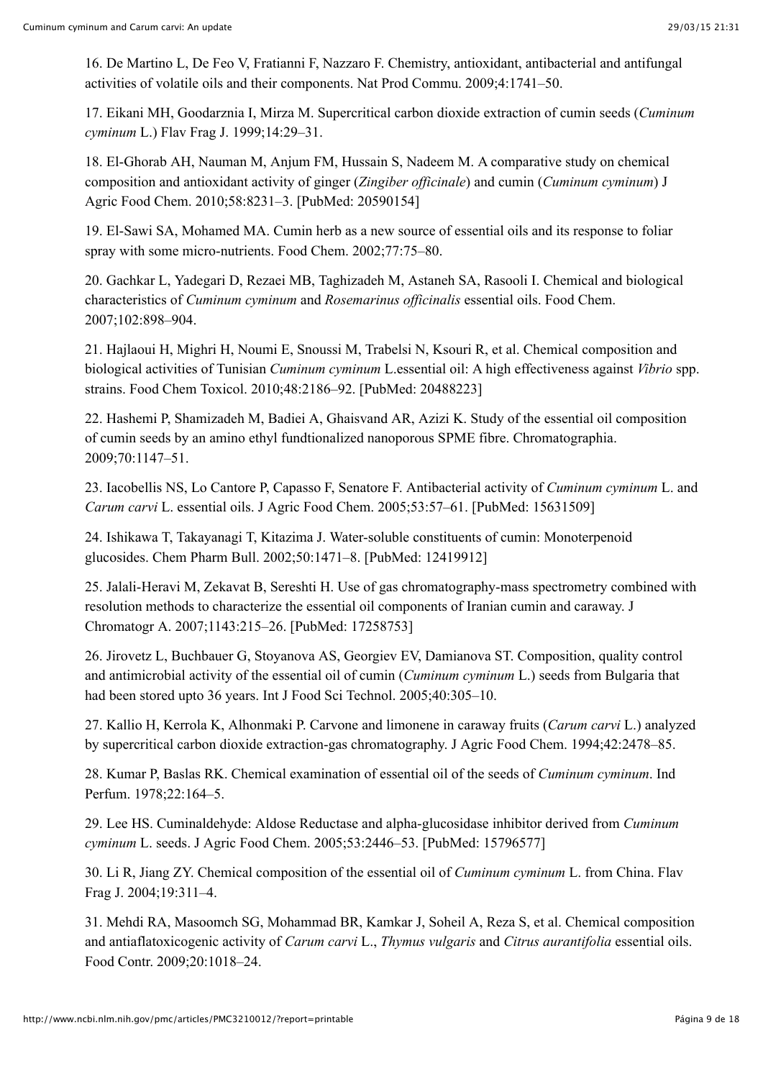16. De Martino L, De Feo V, Fratianni F, Nazzaro F. Chemistry, antioxidant, antibacterial and antifungal activities of volatile oils and their components. Nat Prod Commu. 2009;4:1741–50.

17. Eikani MH, Goodarznia I, Mirza M. Supercritical carbon dioxide extraction of cumin seeds (*Cuminum cyminum* L.) Flav Frag J. 1999;14:29–31.

18. El-Ghorab AH, Nauman M, Anjum FM, Hussain S, Nadeem M. A comparative study on chemical composition and antioxidant activity of ginger (*Zingiber officinale*) and cumin (*Cuminum cyminum*) J Agric Food Chem. 2010;58:8231–3. [PubMed: 20590154]

19. El-Sawi SA, Mohamed MA. Cumin herb as a new source of essential oils and its response to foliar spray with some micro-nutrients. Food Chem. 2002;77:75–80.

20. Gachkar L, Yadegari D, Rezaei MB, Taghizadeh M, Astaneh SA, Rasooli I. Chemical and biological characteristics of *Cuminum cyminum* and *Rosemarinus officinalis* essential oils. Food Chem. 2007;102:898–904.

21. Hajlaoui H, Mighri H, Noumi E, Snoussi M, Trabelsi N, Ksouri R, et al. Chemical composition and biological activities of Tunisian *Cuminum cyminum* L.essential oil: A high effectiveness against *Vibrio* spp. strains. Food Chem Toxicol. 2010;48:2186–92. [PubMed: 20488223]

22. Hashemi P, Shamizadeh M, Badiei A, Ghaisvand AR, Azizi K. Study of the essential oil composition of cumin seeds by an amino ethyl fundtionalized nanoporous SPME fibre. Chromatographia. 2009;70:1147–51.

23. Iacobellis NS, Lo Cantore P, Capasso F, Senatore F. Antibacterial activity of *Cuminum cyminum* L. and *Carum carvi* L. essential oils. J Agric Food Chem. 2005;53:57–61. [PubMed: 15631509]

24. Ishikawa T, Takayanagi T, Kitazima J. Water-soluble constituents of cumin: Monoterpenoid glucosides. Chem Pharm Bull. 2002;50:1471–8. [PubMed: 12419912]

25. Jalali-Heravi M, Zekavat B, Sereshti H. Use of gas chromatography-mass spectrometry combined with resolution methods to characterize the essential oil components of Iranian cumin and caraway. J Chromatogr A. 2007;1143:215–26. [PubMed: 17258753]

26. Jirovetz L, Buchbauer G, Stoyanova AS, Georgiev EV, Damianova ST. Composition, quality control and antimicrobial activity of the essential oil of cumin (*Cuminum cyminum* L.) seeds from Bulgaria that had been stored upto 36 years. Int J Food Sci Technol. 2005;40:305–10.

27. Kallio H, Kerrola K, Alhonmaki P. Carvone and limonene in caraway fruits (*Carum carvi* L.) analyzed by supercritical carbon dioxide extraction-gas chromatography. J Agric Food Chem. 1994;42:2478–85.

28. Kumar P, Baslas RK. Chemical examination of essential oil of the seeds of *Cuminum cyminum*. Ind Perfum. 1978;22:164–5.

29. Lee HS. Cuminaldehyde: Aldose Reductase and alpha-glucosidase inhibitor derived from *Cuminum cyminum* L. seeds. J Agric Food Chem. 2005;53:2446–53. [PubMed: 15796577]

30. Li R, Jiang ZY. Chemical composition of the essential oil of *Cuminum cyminum* L. from China. Flav Frag J. 2004;19:311–4.

31. Mehdi RA, Masoomch SG, Mohammad BR, Kamkar J, Soheil A, Reza S, et al. Chemical composition and antiaflatoxicogenic activity of *Carum carvi* L., *Thymus vulgaris* and *Citrus aurantifolia* essential oils. Food Contr. 2009;20:1018–24.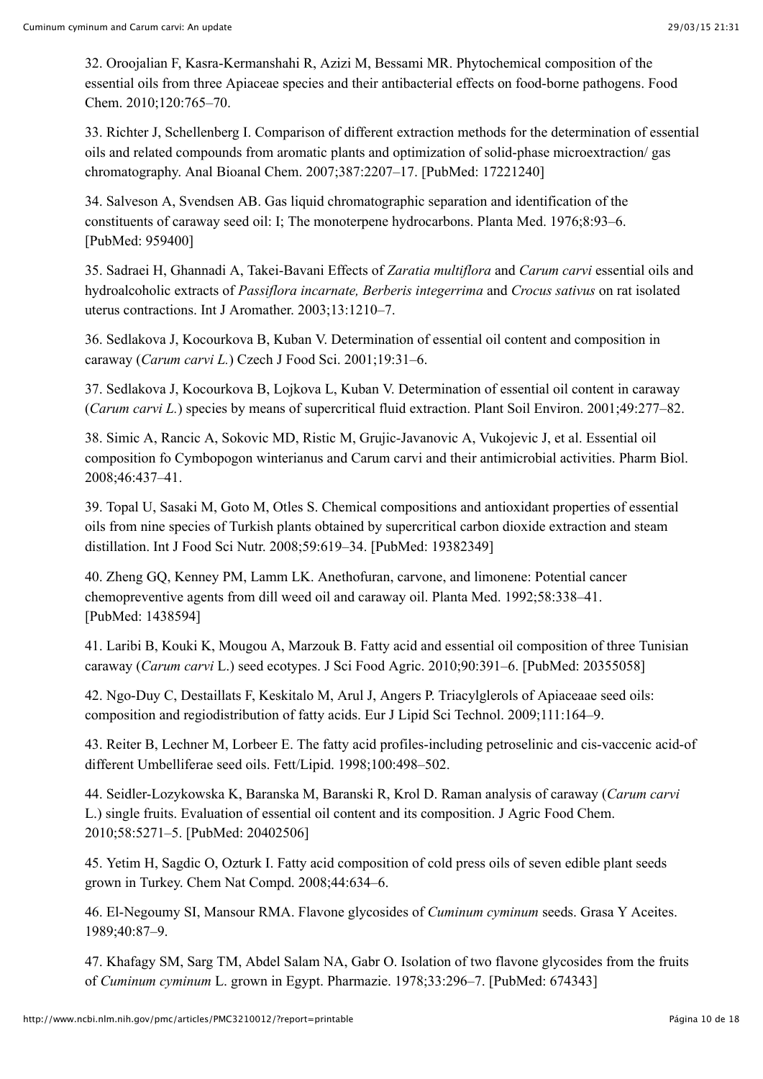32. Oroojalian F, Kasra-Kermanshahi R, Azizi M, Bessami MR. Phytochemical composition of the essential oils from three Apiaceae species and their antibacterial effects on food-borne pathogens. Food Chem. 2010;120:765–70.

33. Richter J, Schellenberg I. Comparison of different extraction methods for the determination of essential oils and related compounds from aromatic plants and optimization of solid-phase microextraction/ gas chromatography. Anal Bioanal Chem. 2007;387:2207–17. [PubMed: 17221240]

34. Salveson A, Svendsen AB. Gas liquid chromatographic separation and identification of the constituents of caraway seed oil: I; The monoterpene hydrocarbons. Planta Med. 1976;8:93–6. [PubMed: 959400]

35. Sadraei H, Ghannadi A, Takei-Bavani Effects of *Zaratia multiflora* and *Carum carvi* essential oils and hydroalcoholic extracts of *Passiflora incarnate, Berberis integerrima* and *Crocus sativus* on rat isolated uterus contractions. Int J Aromather. 2003;13:1210–7.

36. Sedlakova J, Kocourkova B, Kuban V. Determination of essential oil content and composition in caraway (*Carum carvi L.*) Czech J Food Sci. 2001;19:31–6.

37. Sedlakova J, Kocourkova B, Lojkova L, Kuban V. Determination of essential oil content in caraway (*Carum carvi L.*) species by means of supercritical fluid extraction. Plant Soil Environ. 2001;49:277–82.

38. Simic A, Rancic A, Sokovic MD, Ristic M, Grujic-Javanovic A, Vukojevic J, et al. Essential oil composition fo Cymbopogon winterianus and Carum carvi and their antimicrobial activities. Pharm Biol. 2008;46:437–41.

39. Topal U, Sasaki M, Goto M, Otles S. Chemical compositions and antioxidant properties of essential oils from nine species of Turkish plants obtained by supercritical carbon dioxide extraction and steam distillation. Int J Food Sci Nutr. 2008;59:619–34. [PubMed: 19382349]

40. Zheng GQ, Kenney PM, Lamm LK. Anethofuran, carvone, and limonene: Potential cancer chemopreventive agents from dill weed oil and caraway oil. Planta Med. 1992;58:338–41. [PubMed: 1438594]

41. Laribi B, Kouki K, Mougou A, Marzouk B. Fatty acid and essential oil composition of three Tunisian caraway (*Carum carvi* L.) seed ecotypes. J Sci Food Agric. 2010;90:391–6. [PubMed: 20355058]

42. Ngo-Duy C, Destaillats F, Keskitalo M, Arul J, Angers P. Triacylglerols of Apiaceaae seed oils: composition and regiodistribution of fatty acids. Eur J Lipid Sci Technol. 2009;111:164–9.

43. Reiter B, Lechner M, Lorbeer E. The fatty acid profiles-including petroselinic and cis-vaccenic acid-of different Umbelliferae seed oils. Fett/Lipid. 1998;100:498–502.

44. Seidler-Lozykowska K, Baranska M, Baranski R, Krol D. Raman analysis of caraway (*Carum carvi* L.) single fruits. Evaluation of essential oil content and its composition. J Agric Food Chem. 2010;58:5271–5. [PubMed: 20402506]

45. Yetim H, Sagdic O, Ozturk I. Fatty acid composition of cold press oils of seven edible plant seeds grown in Turkey. Chem Nat Compd. 2008;44:634–6.

46. El-Negoumy SI, Mansour RMA. Flavone glycosides of *Cuminum cyminum* seeds. Grasa Y Aceites. 1989;40:87–9.

47. Khafagy SM, Sarg TM, Abdel Salam NA, Gabr O. Isolation of two flavone glycosides from the fruits of *Cuminum cyminum* L. grown in Egypt. Pharmazie. 1978;33:296–7. [PubMed: 674343]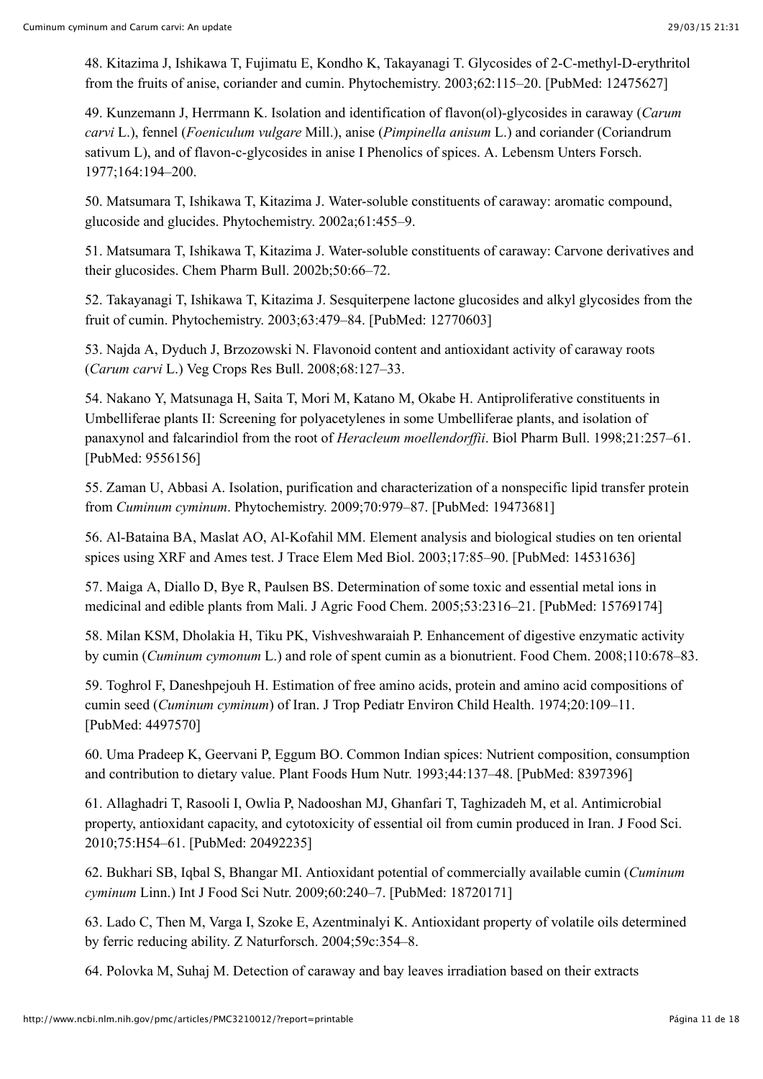48. Kitazima J, Ishikawa T, Fujimatu E, Kondho K, Takayanagi T. Glycosides of 2-C-methyl-D-erythritol from the fruits of anise, coriander and cumin. Phytochemistry. 2003;62:115–20. [PubMed: 12475627]

49. Kunzemann J, Herrmann K. Isolation and identification of flavon(ol)-glycosides in caraway (*Carum carvi* L.), fennel (*Foeniculum vulgare* Mill.), anise (*Pimpinella anisum* L.) and coriander (Coriandrum sativum L), and of flavon-c-glycosides in anise I Phenolics of spices. A. Lebensm Unters Forsch. 1977;164:194–200.

50. Matsumara T, Ishikawa T, Kitazima J. Water-soluble constituents of caraway: aromatic compound, glucoside and glucides. Phytochemistry. 2002a;61:455–9.

51. Matsumara T, Ishikawa T, Kitazima J. Water-soluble constituents of caraway: Carvone derivatives and their glucosides. Chem Pharm Bull. 2002b;50:66–72.

52. Takayanagi T, Ishikawa T, Kitazima J. Sesquiterpene lactone glucosides and alkyl glycosides from the fruit of cumin. Phytochemistry. 2003;63:479–84. [PubMed: 12770603]

53. Najda A, Dyduch J, Brzozowski N. Flavonoid content and antioxidant activity of caraway roots (*Carum carvi* L.) Veg Crops Res Bull. 2008;68:127–33.

54. Nakano Y, Matsunaga H, Saita T, Mori M, Katano M, Okabe H. Antiproliferative constituents in Umbelliferae plants II: Screening for polyacetylenes in some Umbelliferae plants, and isolation of panaxynol and falcarindiol from the root of *Heracleum moellendorffii*. Biol Pharm Bull. 1998;21:257–61. [PubMed: 9556156]

55. Zaman U, Abbasi A. Isolation, purification and characterization of a nonspecific lipid transfer protein from *Cuminum cyminum*. Phytochemistry. 2009;70:979–87. [PubMed: 19473681]

56. Al-Bataina BA, Maslat AO, Al-Kofahil MM. Element analysis and biological studies on ten oriental spices using XRF and Ames test. J Trace Elem Med Biol. 2003;17:85–90. [PubMed: 14531636]

57. Maiga A, Diallo D, Bye R, Paulsen BS. Determination of some toxic and essential metal ions in medicinal and edible plants from Mali. J Agric Food Chem. 2005;53:2316–21. [PubMed: 15769174]

58. Milan KSM, Dholakia H, Tiku PK, Vishveshwaraiah P. Enhancement of digestive enzymatic activity by cumin (*Cuminum cymonum* L.) and role of spent cumin as a bionutrient. Food Chem. 2008;110:678–83.

59. Toghrol F, Daneshpejouh H. Estimation of free amino acids, protein and amino acid compositions of cumin seed (*Cuminum cyminum*) of Iran. J Trop Pediatr Environ Child Health. 1974;20:109–11. [PubMed: 4497570]

60. Uma Pradeep K, Geervani P, Eggum BO. Common Indian spices: Nutrient composition, consumption and contribution to dietary value. Plant Foods Hum Nutr. 1993;44:137–48. [PubMed: 8397396]

61. Allaghadri T, Rasooli I, Owlia P, Nadooshan MJ, Ghanfari T, Taghizadeh M, et al. Antimicrobial property, antioxidant capacity, and cytotoxicity of essential oil from cumin produced in Iran. J Food Sci. 2010;75:H54–61. [PubMed: 20492235]

62. Bukhari SB, Iqbal S, Bhangar MI. Antioxidant potential of commercially available cumin (*Cuminum cyminum* Linn.) Int J Food Sci Nutr. 2009;60:240–7. [PubMed: 18720171]

63. Lado C, Then M, Varga I, Szoke E, Azentminalyi K. Antioxidant property of volatile oils determined by ferric reducing ability. Z Naturforsch. 2004;59c:354–8.

64. Polovka M, Suhaj M. Detection of caraway and bay leaves irradiation based on their extracts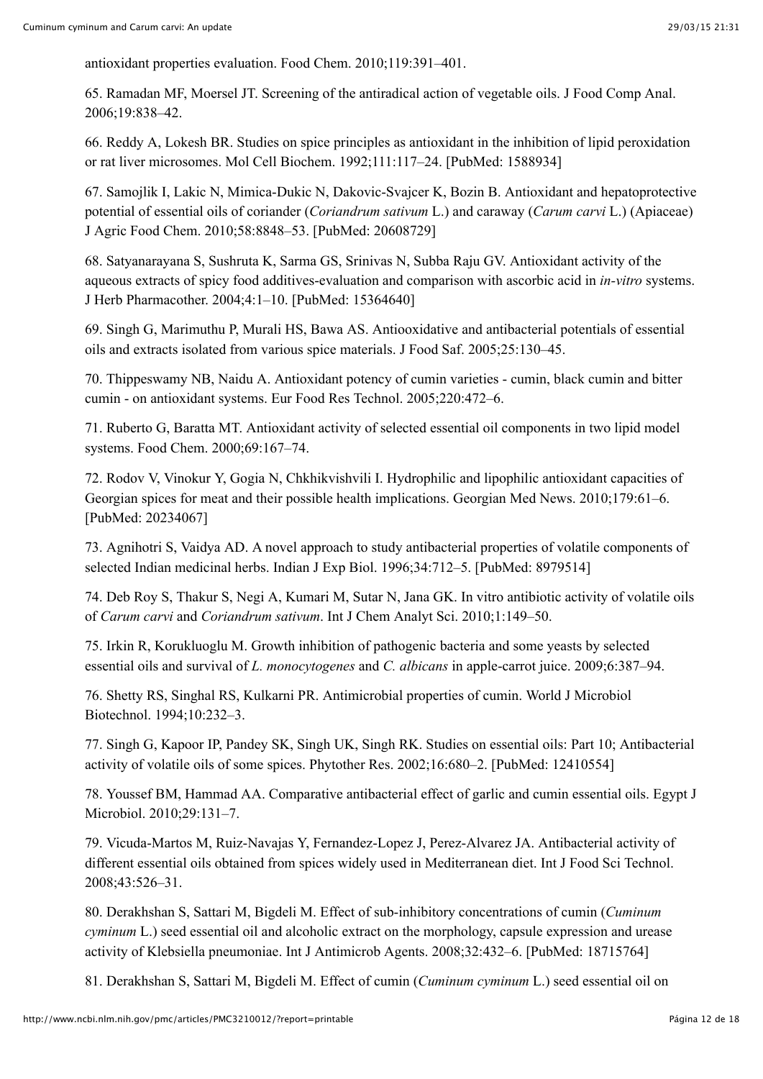antioxidant properties evaluation. Food Chem. 2010;119:391–401.

65. Ramadan MF, Moersel JT. Screening of the antiradical action of vegetable oils. J Food Comp Anal. 2006;19:838–42.

66. Reddy A, Lokesh BR. Studies on spice principles as antioxidant in the inhibition of lipid peroxidation or rat liver microsomes. Mol Cell Biochem. 1992;111:117–24. [PubMed: 1588934]

67. Samojlik I, Lakic N, Mimica-Dukic N, Dakovic-Svajcer K, Bozin B. Antioxidant and hepatoprotective potential of essential oils of coriander (*Coriandrum sativum* L.) and caraway (*Carum carvi* L.) (Apiaceae) J Agric Food Chem. 2010;58:8848–53. [PubMed: 20608729]

68. Satyanarayana S, Sushruta K, Sarma GS, Srinivas N, Subba Raju GV. Antioxidant activity of the aqueous extracts of spicy food additives-evaluation and comparison with ascorbic acid in *in-vitro* systems. J Herb Pharmacother. 2004;4:1–10. [PubMed: 15364640]

69. Singh G, Marimuthu P, Murali HS, Bawa AS. Antiooxidative and antibacterial potentials of essential oils and extracts isolated from various spice materials. J Food Saf. 2005;25:130–45.

70. Thippeswamy NB, Naidu A. Antioxidant potency of cumin varieties - cumin, black cumin and bitter cumin - on antioxidant systems. Eur Food Res Technol. 2005;220:472–6.

71. Ruberto G, Baratta MT. Antioxidant activity of selected essential oil components in two lipid model systems. Food Chem. 2000;69:167–74.

72. Rodov V, Vinokur Y, Gogia N, Chkhikvishvili I. Hydrophilic and lipophilic antioxidant capacities of Georgian spices for meat and their possible health implications. Georgian Med News. 2010;179:61–6. [PubMed: 20234067]

73. Agnihotri S, Vaidya AD. A novel approach to study antibacterial properties of volatile components of selected Indian medicinal herbs. Indian J Exp Biol. 1996;34:712–5. [PubMed: 8979514]

74. Deb Roy S, Thakur S, Negi A, Kumari M, Sutar N, Jana GK. In vitro antibiotic activity of volatile oils of *Carum carvi* and *Coriandrum sativum*. Int J Chem Analyt Sci. 2010;1:149–50.

75. Irkin R, Korukluoglu M. Growth inhibition of pathogenic bacteria and some yeasts by selected essential oils and survival of *L. monocytogenes* and *C. albicans* in apple-carrot juice. 2009;6:387–94.

76. Shetty RS, Singhal RS, Kulkarni PR. Antimicrobial properties of cumin. World J Microbiol Biotechnol. 1994;10:232–3.

77. Singh G, Kapoor IP, Pandey SK, Singh UK, Singh RK. Studies on essential oils: Part 10; Antibacterial activity of volatile oils of some spices. Phytother Res. 2002;16:680–2. [PubMed: 12410554]

78. Youssef BM, Hammad AA. Comparative antibacterial effect of garlic and cumin essential oils. Egypt J Microbiol. 2010;29:131–7.

79. Vicuda-Martos M, Ruiz-Navajas Y, Fernandez-Lopez J, Perez-Alvarez JA. Antibacterial activity of different essential oils obtained from spices widely used in Mediterranean diet. Int J Food Sci Technol. 2008;43:526–31.

80. Derakhshan S, Sattari M, Bigdeli M. Effect of sub-inhibitory concentrations of cumin (*Cuminum cyminum* L.) seed essential oil and alcoholic extract on the morphology, capsule expression and urease activity of Klebsiella pneumoniae. Int J Antimicrob Agents. 2008;32:432–6. [PubMed: 18715764]

81. Derakhshan S, Sattari M, Bigdeli M. Effect of cumin (*Cuminum cyminum* L.) seed essential oil on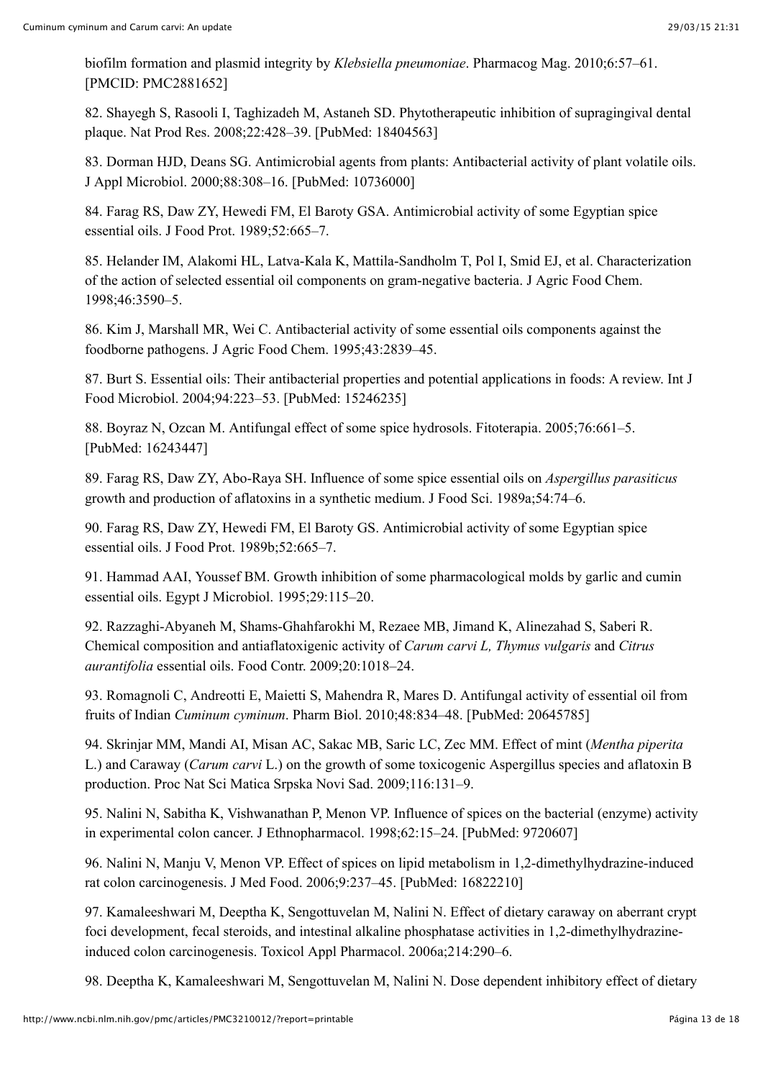biofilm formation and plasmid integrity by *Klebsiella pneumoniae*. Pharmacog Mag. 2010;6:57–61. [PMCID: PMC2881652]

82. Shayegh S, Rasooli I, Taghizadeh M, Astaneh SD. Phytotherapeutic inhibition of supragingival dental plaque. Nat Prod Res. 2008;22:428–39. [PubMed: 18404563]

83. Dorman HJD, Deans SG. Antimicrobial agents from plants: Antibacterial activity of plant volatile oils. J Appl Microbiol. 2000;88:308–16. [PubMed: 10736000]

84. Farag RS, Daw ZY, Hewedi FM, El Baroty GSA. Antimicrobial activity of some Egyptian spice essential oils. J Food Prot. 1989;52:665–7.

85. Helander IM, Alakomi HL, Latva-Kala K, Mattila-Sandholm T, Pol I, Smid EJ, et al. Characterization of the action of selected essential oil components on gram-negative bacteria. J Agric Food Chem. 1998;46:3590–5.

86. Kim J, Marshall MR, Wei C. Antibacterial activity of some essential oils components against the foodborne pathogens. J Agric Food Chem. 1995;43:2839–45.

87. Burt S. Essential oils: Their antibacterial properties and potential applications in foods: A review. Int J Food Microbiol. 2004;94:223–53. [PubMed: 15246235]

88. Boyraz N, Ozcan M. Antifungal effect of some spice hydrosols. Fitoterapia. 2005;76:661–5. [PubMed: 16243447]

89. Farag RS, Daw ZY, Abo-Raya SH. Influence of some spice essential oils on *Aspergillus parasiticus* growth and production of aflatoxins in a synthetic medium. J Food Sci. 1989a;54:74–6.

90. Farag RS, Daw ZY, Hewedi FM, El Baroty GS. Antimicrobial activity of some Egyptian spice essential oils. J Food Prot. 1989b;52:665–7.

91. Hammad AAI, Youssef BM. Growth inhibition of some pharmacological molds by garlic and cumin essential oils. Egypt J Microbiol. 1995;29:115–20.

92. Razzaghi-Abyaneh M, Shams-Ghahfarokhi M, Rezaee MB, Jimand K, Alinezahad S, Saberi R. Chemical composition and antiaflatoxigenic activity of *Carum carvi L, Thymus vulgaris* and *Citrus aurantifolia* essential oils. Food Contr. 2009;20:1018–24.

93. Romagnoli C, Andreotti E, Maietti S, Mahendra R, Mares D. Antifungal activity of essential oil from fruits of Indian *Cuminum cyminum*. Pharm Biol. 2010;48:834–48. [PubMed: 20645785]

94. Skrinjar MM, Mandi AI, Misan AC, Sakac MB, Saric LC, Zec MM. Effect of mint (*Mentha piperita* L.) and Caraway (*Carum carvi* L.) on the growth of some toxicogenic Aspergillus species and aflatoxin B production. Proc Nat Sci Matica Srpska Novi Sad. 2009;116:131–9.

95. Nalini N, Sabitha K, Vishwanathan P, Menon VP. Influence of spices on the bacterial (enzyme) activity in experimental colon cancer. J Ethnopharmacol. 1998;62:15–24. [PubMed: 9720607]

96. Nalini N, Manju V, Menon VP. Effect of spices on lipid metabolism in 1,2-dimethylhydrazine-induced rat colon carcinogenesis. J Med Food. 2006;9:237–45. [PubMed: 16822210]

97. Kamaleeshwari M, Deeptha K, Sengottuvelan M, Nalini N. Effect of dietary caraway on aberrant crypt foci development, fecal steroids, and intestinal alkaline phosphatase activities in 1,2-dimethylhydrazineinduced colon carcinogenesis. Toxicol Appl Pharmacol. 2006a;214:290–6.

98. Deeptha K, Kamaleeshwari M, Sengottuvelan M, Nalini N. Dose dependent inhibitory effect of dietary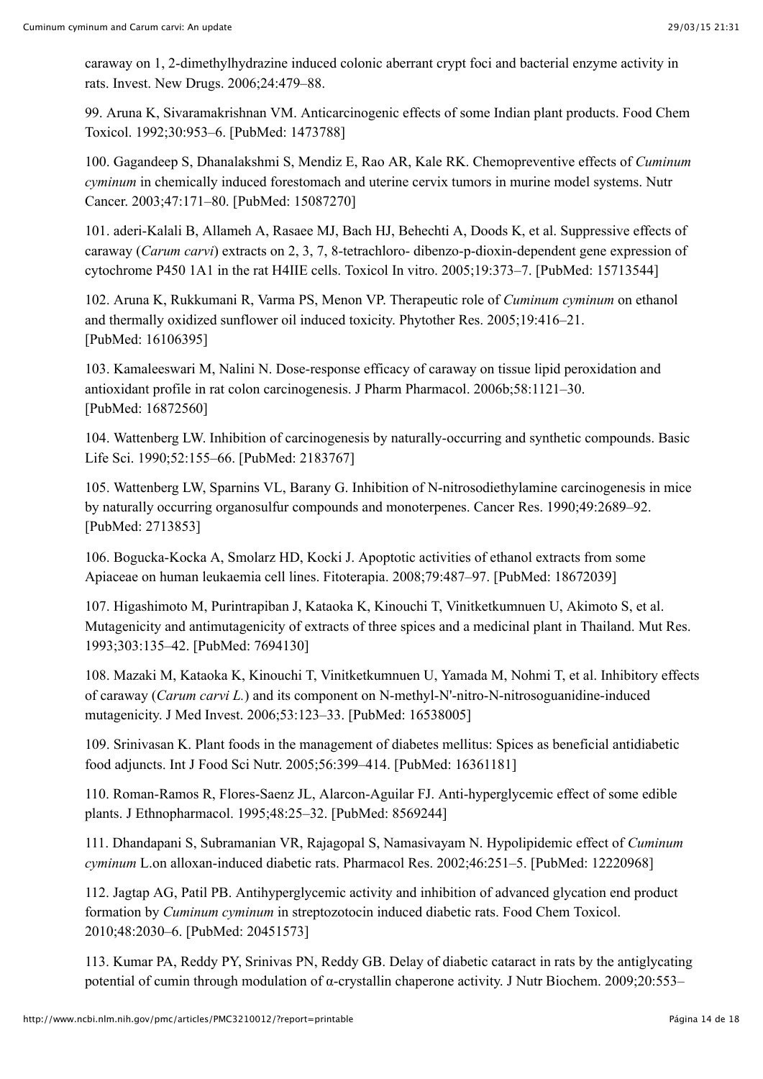caraway on 1, 2-dimethylhydrazine induced colonic aberrant crypt foci and bacterial enzyme activity in rats. Invest. New Drugs. 2006;24:479–88.

99. Aruna K, Sivaramakrishnan VM. Anticarcinogenic effects of some Indian plant products. Food Chem Toxicol. 1992;30:953–6. [PubMed: 1473788]

100. Gagandeep S, Dhanalakshmi S, Mendiz E, Rao AR, Kale RK. Chemopreventive effects of *Cuminum cyminum* in chemically induced forestomach and uterine cervix tumors in murine model systems. Nutr Cancer. 2003;47:171–80. [PubMed: 15087270]

101. aderi-Kalali B, Allameh A, Rasaee MJ, Bach HJ, Behechti A, Doods K, et al. Suppressive effects of caraway (*Carum carvi*) extracts on 2, 3, 7, 8-tetrachloro- dibenzo-p-dioxin-dependent gene expression of cytochrome P450 1A1 in the rat H4IIE cells. Toxicol In vitro. 2005;19:373–7. [PubMed: 15713544]

102. Aruna K, Rukkumani R, Varma PS, Menon VP. Therapeutic role of *Cuminum cyminum* on ethanol and thermally oxidized sunflower oil induced toxicity. Phytother Res. 2005;19:416–21. [PubMed: 16106395]

103. Kamaleeswari M, Nalini N. Dose-response efficacy of caraway on tissue lipid peroxidation and antioxidant profile in rat colon carcinogenesis. J Pharm Pharmacol. 2006b;58:1121–30. [PubMed: 16872560]

104. Wattenberg LW. Inhibition of carcinogenesis by naturally-occurring and synthetic compounds. Basic Life Sci. 1990;52:155–66. [PubMed: 2183767]

105. Wattenberg LW, Sparnins VL, Barany G. Inhibition of N-nitrosodiethylamine carcinogenesis in mice by naturally occurring organosulfur compounds and monoterpenes. Cancer Res. 1990;49:2689–92. [PubMed: 2713853]

106. Bogucka-Kocka A, Smolarz HD, Kocki J. Apoptotic activities of ethanol extracts from some Apiaceae on human leukaemia cell lines. Fitoterapia. 2008;79:487–97. [PubMed: 18672039]

107. Higashimoto M, Purintrapiban J, Kataoka K, Kinouchi T, Vinitketkumnuen U, Akimoto S, et al. Mutagenicity and antimutagenicity of extracts of three spices and a medicinal plant in Thailand. Mut Res. 1993;303:135–42. [PubMed: 7694130]

108. Mazaki M, Kataoka K, Kinouchi T, Vinitketkumnuen U, Yamada M, Nohmi T, et al. Inhibitory effects of caraway (*Carum carvi L.*) and its component on N-methyl-N'-nitro-N-nitrosoguanidine-induced mutagenicity. J Med Invest. 2006;53:123–33. [PubMed: 16538005]

109. Srinivasan K. Plant foods in the management of diabetes mellitus: Spices as beneficial antidiabetic food adjuncts. Int J Food Sci Nutr. 2005;56:399–414. [PubMed: 16361181]

110. Roman-Ramos R, Flores-Saenz JL, Alarcon-Aguilar FJ. Anti-hyperglycemic effect of some edible plants. J Ethnopharmacol. 1995;48:25–32. [PubMed: 8569244]

111. Dhandapani S, Subramanian VR, Rajagopal S, Namasivayam N. Hypolipidemic effect of *Cuminum cyminum* L.on alloxan-induced diabetic rats. Pharmacol Res. 2002;46:251–5. [PubMed: 12220968]

112. Jagtap AG, Patil PB. Antihyperglycemic activity and inhibition of advanced glycation end product formation by *Cuminum cyminum* in streptozotocin induced diabetic rats. Food Chem Toxicol. 2010;48:2030–6. [PubMed: 20451573]

113. Kumar PA, Reddy PY, Srinivas PN, Reddy GB. Delay of diabetic cataract in rats by the antiglycating potential of cumin through modulation of α-crystallin chaperone activity. J Nutr Biochem. 2009;20:553–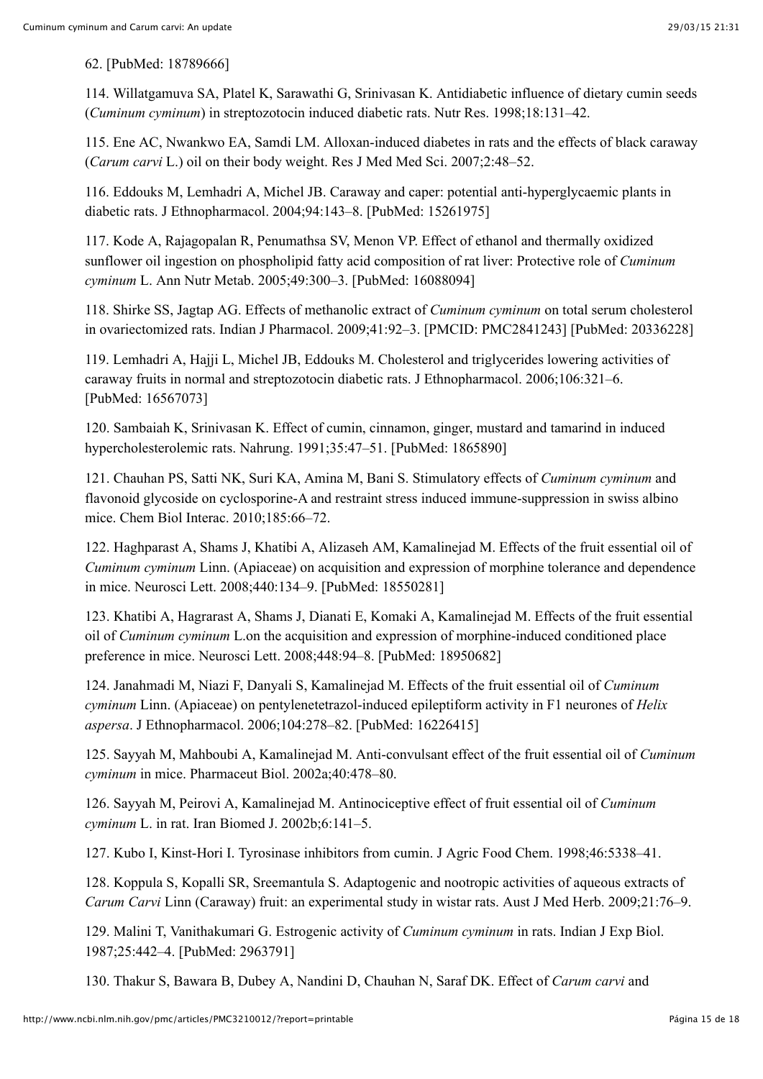62. [PubMed: 18789666]

114. Willatgamuva SA, Platel K, Sarawathi G, Srinivasan K. Antidiabetic influence of dietary cumin seeds (*Cuminum cyminum*) in streptozotocin induced diabetic rats. Nutr Res. 1998;18:131–42.

115. Ene AC, Nwankwo EA, Samdi LM. Alloxan-induced diabetes in rats and the effects of black caraway (*Carum carvi* L.) oil on their body weight. Res J Med Med Sci. 2007;2:48–52.

116. Eddouks M, Lemhadri A, Michel JB. Caraway and caper: potential anti-hyperglycaemic plants in diabetic rats. J Ethnopharmacol. 2004;94:143–8. [PubMed: 15261975]

117. Kode A, Rajagopalan R, Penumathsa SV, Menon VP. Effect of ethanol and thermally oxidized sunflower oil ingestion on phospholipid fatty acid composition of rat liver: Protective role of *Cuminum cyminum* L. Ann Nutr Metab. 2005;49:300–3. [PubMed: 16088094]

118. Shirke SS, Jagtap AG. Effects of methanolic extract of *Cuminum cyminum* on total serum cholesterol in ovariectomized rats. Indian J Pharmacol. 2009;41:92–3. [PMCID: PMC2841243] [PubMed: 20336228]

119. Lemhadri A, Hajji L, Michel JB, Eddouks M. Cholesterol and triglycerides lowering activities of caraway fruits in normal and streptozotocin diabetic rats. J Ethnopharmacol. 2006;106:321–6. [PubMed: 16567073]

120. Sambaiah K, Srinivasan K. Effect of cumin, cinnamon, ginger, mustard and tamarind in induced hypercholesterolemic rats. Nahrung. 1991;35:47–51. [PubMed: 1865890]

121. Chauhan PS, Satti NK, Suri KA, Amina M, Bani S. Stimulatory effects of *Cuminum cyminum* and flavonoid glycoside on cyclosporine-A and restraint stress induced immune-suppression in swiss albino mice. Chem Biol Interac. 2010;185:66–72.

122. Haghparast A, Shams J, Khatibi A, Alizaseh AM, Kamalinejad M. Effects of the fruit essential oil of *Cuminum cyminum* Linn. (Apiaceae) on acquisition and expression of morphine tolerance and dependence in mice. Neurosci Lett. 2008;440:134–9. [PubMed: 18550281]

123. Khatibi A, Hagrarast A, Shams J, Dianati E, Komaki A, Kamalinejad M. Effects of the fruit essential oil of *Cuminum cyminum* L.on the acquisition and expression of morphine-induced conditioned place preference in mice. Neurosci Lett. 2008;448:94–8. [PubMed: 18950682]

124. Janahmadi M, Niazi F, Danyali S, Kamalinejad M. Effects of the fruit essential oil of *Cuminum cyminum* Linn. (Apiaceae) on pentylenetetrazol-induced epileptiform activity in F1 neurones of *Helix aspersa*. J Ethnopharmacol. 2006;104:278–82. [PubMed: 16226415]

125. Sayyah M, Mahboubi A, Kamalinejad M. Anti-convulsant effect of the fruit essential oil of *Cuminum cyminum* in mice. Pharmaceut Biol. 2002a;40:478–80.

126. Sayyah M, Peirovi A, Kamalinejad M. Antinociceptive effect of fruit essential oil of *Cuminum cyminum* L. in rat. Iran Biomed J. 2002b;6:141–5.

127. Kubo I, Kinst-Hori I. Tyrosinase inhibitors from cumin. J Agric Food Chem. 1998;46:5338–41.

128. Koppula S, Kopalli SR, Sreemantula S. Adaptogenic and nootropic activities of aqueous extracts of *Carum Carvi* Linn (Caraway) fruit: an experimental study in wistar rats. Aust J Med Herb. 2009;21:76–9.

129. Malini T, Vanithakumari G. Estrogenic activity of *Cuminum cyminum* in rats. Indian J Exp Biol. 1987;25:442–4. [PubMed: 2963791]

130. Thakur S, Bawara B, Dubey A, Nandini D, Chauhan N, Saraf DK. Effect of *Carum carvi* and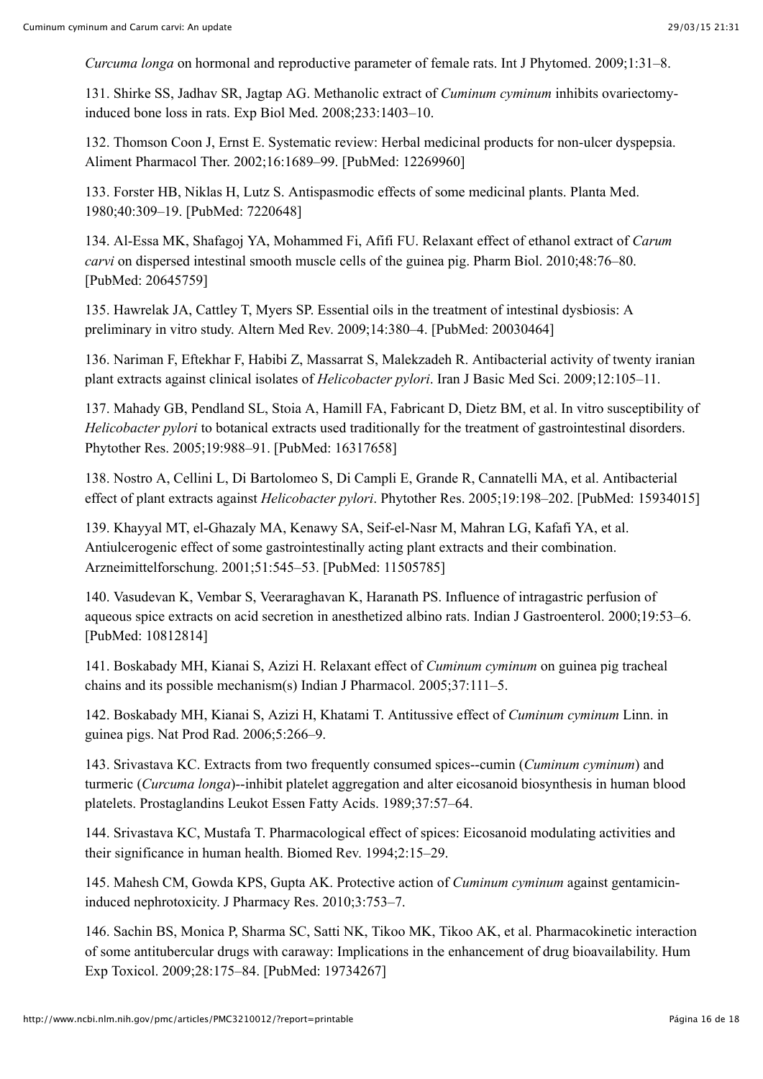*Curcuma longa* on hormonal and reproductive parameter of female rats. Int J Phytomed. 2009;1:31–8.

131. Shirke SS, Jadhav SR, Jagtap AG. Methanolic extract of *Cuminum cyminum* inhibits ovariectomyinduced bone loss in rats. Exp Biol Med. 2008;233:1403–10.

132. Thomson Coon J, Ernst E. Systematic review: Herbal medicinal products for non-ulcer dyspepsia. Aliment Pharmacol Ther. 2002;16:1689–99. [PubMed: 12269960]

133. Forster HB, Niklas H, Lutz S. Antispasmodic effects of some medicinal plants. Planta Med. 1980;40:309–19. [PubMed: 7220648]

134. Al-Essa MK, Shafagoj YA, Mohammed Fi, Afifi FU. Relaxant effect of ethanol extract of *Carum carvi* on dispersed intestinal smooth muscle cells of the guinea pig. Pharm Biol. 2010;48:76–80. [PubMed: 20645759]

135. Hawrelak JA, Cattley T, Myers SP. Essential oils in the treatment of intestinal dysbiosis: A preliminary in vitro study. Altern Med Rev. 2009;14:380–4. [PubMed: 20030464]

136. Nariman F, Eftekhar F, Habibi Z, Massarrat S, Malekzadeh R. Antibacterial activity of twenty iranian plant extracts against clinical isolates of *Helicobacter pylori*. Iran J Basic Med Sci. 2009;12:105–11.

137. Mahady GB, Pendland SL, Stoia A, Hamill FA, Fabricant D, Dietz BM, et al. In vitro susceptibility of *Helicobacter pylori* to botanical extracts used traditionally for the treatment of gastrointestinal disorders. Phytother Res. 2005;19:988–91. [PubMed: 16317658]

138. Nostro A, Cellini L, Di Bartolomeo S, Di Campli E, Grande R, Cannatelli MA, et al. Antibacterial effect of plant extracts against *Helicobacter pylori*. Phytother Res. 2005;19:198–202. [PubMed: 15934015]

139. Khayyal MT, el-Ghazaly MA, Kenawy SA, Seif-el-Nasr M, Mahran LG, Kafafi YA, et al. Antiulcerogenic effect of some gastrointestinally acting plant extracts and their combination. Arzneimittelforschung. 2001;51:545–53. [PubMed: 11505785]

140. Vasudevan K, Vembar S, Veeraraghavan K, Haranath PS. Influence of intragastric perfusion of aqueous spice extracts on acid secretion in anesthetized albino rats. Indian J Gastroenterol. 2000;19:53–6. [PubMed: 10812814]

141. Boskabady MH, Kianai S, Azizi H. Relaxant effect of *Cuminum cyminum* on guinea pig tracheal chains and its possible mechanism(s) Indian J Pharmacol. 2005;37:111–5.

142. Boskabady MH, Kianai S, Azizi H, Khatami T. Antitussive effect of *Cuminum cyminum* Linn. in guinea pigs. Nat Prod Rad. 2006;5:266–9.

143. Srivastava KC. Extracts from two frequently consumed spices--cumin (*Cuminum cyminum*) and turmeric (*Curcuma longa*)--inhibit platelet aggregation and alter eicosanoid biosynthesis in human blood platelets. Prostaglandins Leukot Essen Fatty Acids. 1989;37:57–64.

144. Srivastava KC, Mustafa T. Pharmacological effect of spices: Eicosanoid modulating activities and their significance in human health. Biomed Rev. 1994;2:15–29.

145. Mahesh CM, Gowda KPS, Gupta AK. Protective action of *Cuminum cyminum* against gentamicininduced nephrotoxicity. J Pharmacy Res. 2010;3:753–7.

146. Sachin BS, Monica P, Sharma SC, Satti NK, Tikoo MK, Tikoo AK, et al. Pharmacokinetic interaction of some antitubercular drugs with caraway: Implications in the enhancement of drug bioavailability. Hum Exp Toxicol. 2009;28:175–84. [PubMed: 19734267]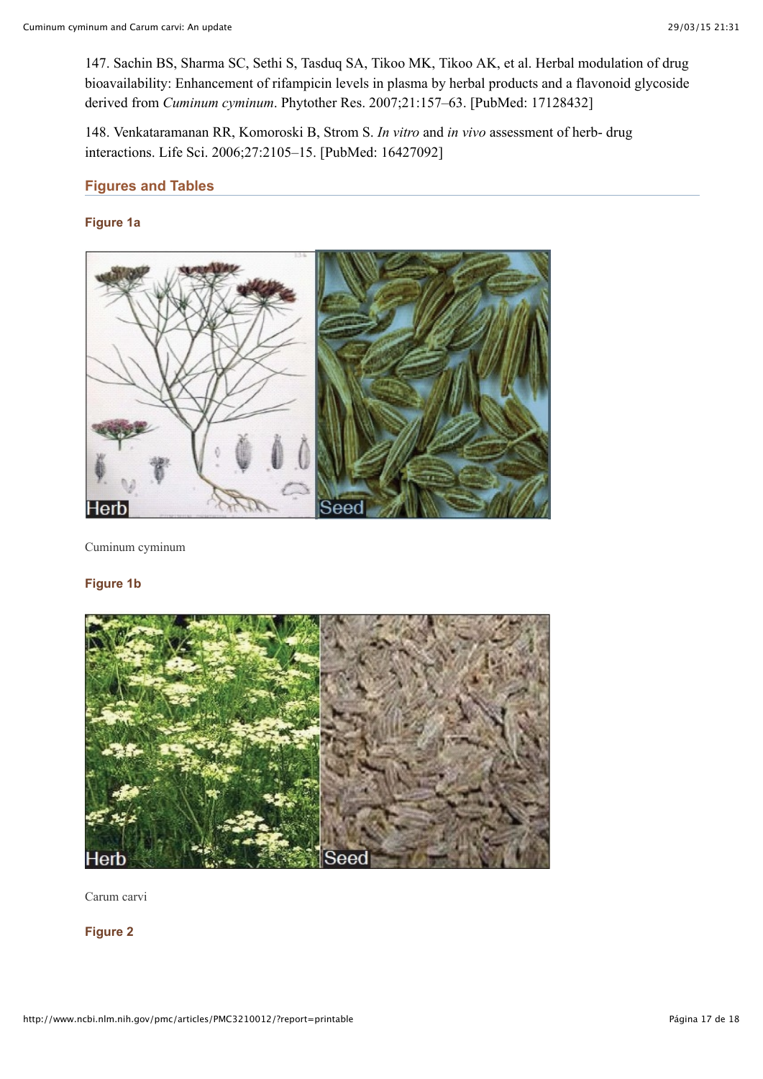147. Sachin BS, Sharma SC, Sethi S, Tasduq SA, Tikoo MK, Tikoo AK, et al. Herbal modulation of drug bioavailability: Enhancement of rifampicin levels in plasma by herbal products and a flavonoid glycoside derived from *Cuminum cyminum*. Phytother Res. 2007;21:157–63. [PubMed: 17128432]

148. Venkataramanan RR, Komoroski B, Strom S. *In vitro* and *in vivo* assessment of herb- drug interactions. Life Sci. 2006;27:2105–15. [PubMed: 16427092]

## **Figures and Tables**

### **Figure 1a**



Cuminum cyminum

#### **Figure 1b**



Carum carvi

**Figure 2**